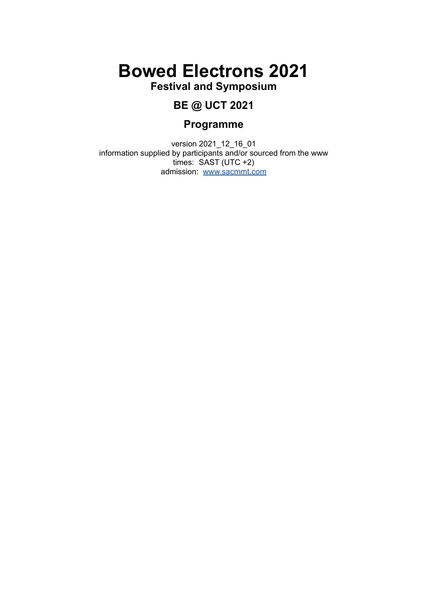# **Bowed Electrons 2021**

**Festival and Symposium**

# **BE @ UCT 2021**

# **Programme**

version 2021\_12\_16\_01 information supplied by participants and/or sourced from the www times: SAST (UTC +2) admission: [www.sacmmt.com](http://www.sacmmt.com)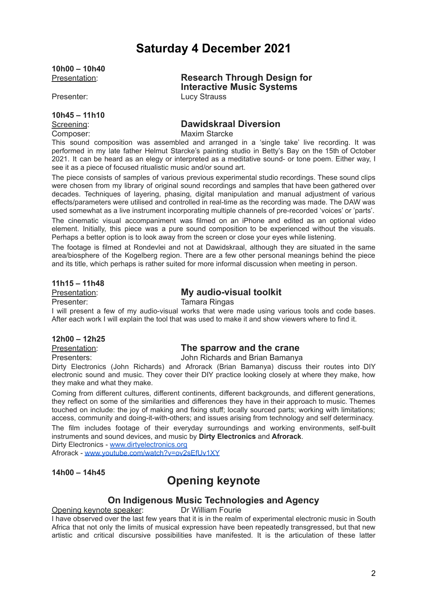# **Saturday 4 December 2021**

**10h00 – 10h40**

### **10h45 – 11h10**

Presentation: **Research Through Design for Interactive Music Systems** Presenter: Lucy Strauss

# Screening: **Dawidskraal Diversion**

Composer: Maxim Starcke

This sound composition was assembled and arranged in a 'single take' live recording. It was performed in my late father Helmut Starcke's painting studio in Betty's Bay on the 15th of October 2021. It can be heard as an elegy or interpreted as a meditative sound- or tone poem. Either way, I see it as a piece of focused ritualistic music and/or sound art.

The piece consists of samples of various previous experimental studio recordings. These sound clips were chosen from my library of original sound recordings and samples that have been gathered over decades. Techniques of layering, phasing, digital manipulation and manual adjustment of various effects/parameters were utilised and controlled in real-time as the recording was made. The DAW was used somewhat as a live instrument incorporating multiple channels of pre-recorded 'voices' or 'parts'.

The cinematic visual accompaniment was filmed on an iPhone and edited as an optional video element. Initially, this piece was a pure sound composition to be experienced without the visuals. Perhaps a better option is to look away from the screen or close your eyes while listening.

The footage is filmed at Rondevlei and not at Dawidskraal, although they are situated in the same area/biosphere of the Kogelberg region. There are a few other personal meanings behind the piece and its title, which perhaps is rather suited for more informal discussion when meeting in person.

#### **11h15 – 11h48**

# Presentation: **My audio-visual toolkit**

Presenter: Tamara Ringas

I will present a few of my audio-visual works that were made using various tools and code bases. After each work I will explain the tool that was used to make it and show viewers where to find it.

#### **12h00 – 12h25**

# Presentation: **The sparrow and the crane**

Presenters: John Richards and Brian Bamanya

Dirty Electronics (John Richards) and Afrorack (Brian Bamanya) discuss their routes into DIY electronic sound and music. They cover their DIY practice looking closely at where they make, how they make and what they make.

Coming from different cultures, different continents, different backgrounds, and different generations, they reflect on some of the similarities and differences they have in their approach to music. Themes touched on include: the joy of making and fixing stuff; locally sourced parts; working with limitations; access, community and doing-it-with-others; and issues arising from technology and self determinacy. The film includes footage of their everyday surroundings and working environments, self-built

instruments and sound devices, and music by **Dirty Electronics** and **Afrorack**.

Dirty Electronics - [www.dirtyelectronics.org](http://www.dirtyelectronics.org)

Afrorack - [www.youtube.com/watch?v=ov2sEfUv1XY](http://www.youtube.com/watch?v=ov2sEfUv1XY)

**14h00 – 14h45**

# **Opening keynote**

# **On Indigenous Music Technologies and Agency**

Opening keynote speaker: Dr William Fourie

I have observed over the last few years that it is in the realm of experimental electronic music in South Africa that not only the limits of musical expression have been repeatedly transgressed, but that new artistic and critical discursive possibilities have manifested. It is the articulation of these latter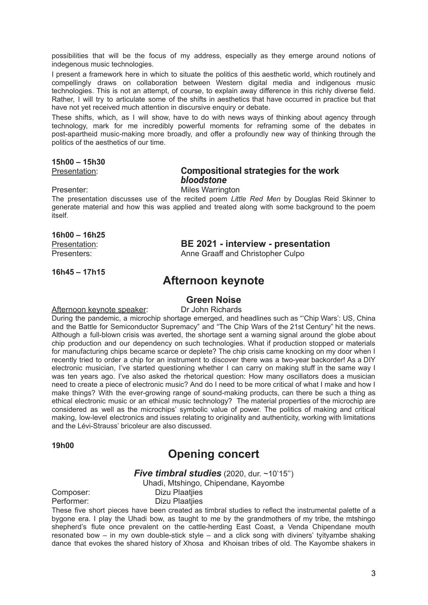possibilities that will be the focus of my address, especially as they emerge around notions of indegenous music technologies.

I present a framework here in which to situate the politics of this aesthetic world, which routinely and compellingly draws on collaboration between Western digital media and indigenous music technologies. This is not an attempt, of course, to explain away difference in this richly diverse field. Rather, I will try to articulate some of the shifts in aesthetics that have occurred in practice but that have not yet received much attention in discursive enquiry or debate.

These shifts, which, as I will show, have to do with news ways of thinking about agency through technology, mark for me incredibly powerful moments for reframing some of the debates in post-apartheid music-making more broadly, and offer a profoundly new way of thinking through the politics of the aesthetics of our time.

#### **15h00 – 15h30**

### Presentation: **Compositional strategies for the work** *bloodstone*

Presenter: Miles Warrington

The presentation discusses use of the recited poem *Little Red Men* by Douglas Reid Skinner to generate material and how this was applied and treated along with some background to the poem itself.

#### **16h00 – 16h25**

Presentation: **BE 2021 - interview - presentation** Presenters: Anne Graaff and Christopher Culpo

**16h45 – 17h15**

# **Afternoon keynote**

# **Green Noise**

Afternoon keynote speaker: Dr John Richards

During the pandemic, a microchip shortage emerged, and headlines such as "'Chip Wars': US, China and the Battle for Semiconductor Supremacy" and "The Chip Wars of the 21st Century" hit the news. Although a full-blown crisis was averted, the shortage sent a warning signal around the globe about chip production and our dependency on such technologies. What if production stopped or materials for manufacturing chips became scarce or deplete? The chip crisis came knocking on my door when I recently tried to order a chip for an instrument to discover there was a two-year backorder! As a DIY electronic musician, I've started questioning whether I can carry on making stuff in the same way I was ten years ago. I've also asked the rhetorical question: How many oscillators does a musician need to create a piece of electronic music? And do I need to be more critical of what I make and how I make things? With the ever-growing range of sound-making products, can there be such a thing as ethical electronic music or an ethical music technology? The material properties of the microchip are considered as well as the microchips' symbolic value of power. The politics of making and critical making, low-level electronics and issues relating to originality and authenticity, working with limitations and the Lévi-Strauss' bricoleur are also discussed.

**19h00**

# **Opening concert**

#### *Five timbral studies* (2020, dur. ~10'15'')

Uhadi, Mtshingo, Chipendane, Kayombe

Composer: Dizu Plaatijes Performer: Dizu Plaatijes

These five short pieces have been created as timbral studies to reflect the instrumental palette of a bygone era. I play the Uhadi bow, as taught to me by the grandmothers of my tribe, the mtshingo shepherd's flute once prevalent on the cattle-herding East Coast, a Venda Chipendane mouth resonated bow – in my own double-stick style – and a click song with diviners' tyityambe shaking dance that evokes the shared history of Xhosa and Khoisan tribes of old. The Kayombe shakers in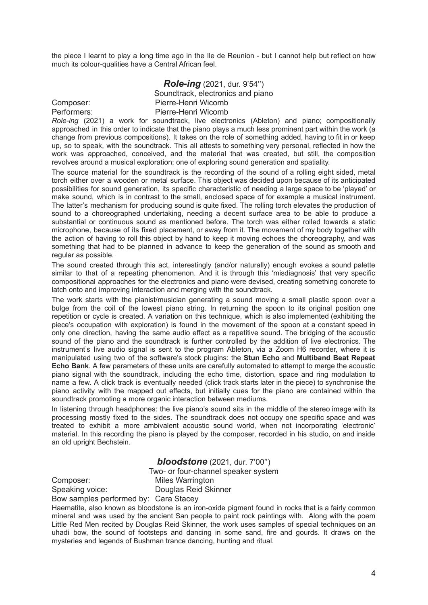the piece I learnt to play a long time ago in the Ile de Reunion - but I cannot help but reflect on how much its colour-qualities have a Central African feel.

*Role-ing* (2021, dur. 9'54'') Soundtrack, electronics and piano Composer: Pierre-Henri Wicomb Performers: Pierre-Henri Wicomb

*Role-ing* (2021) a work for soundtrack, live electronics (Ableton) and piano; compositionally approached in this order to indicate that the piano plays a much less prominent part within the work (a change from previous compositions). It takes on the role of something added, having to fit in or keep up, so to speak, with the soundtrack. This all attests to something very personal, reflected in how the work was approached, conceived, and the material that was created, but still, the composition revolves around a musical exploration; one of exploring sound generation and spatiality.

The source material for the soundtrack is the recording of the sound of a rolling eight sided, metal torch either over a wooden or metal surface. This object was decided upon because of its anticipated possibilities for sound generation, its specific characteristic of needing a large space to be 'played' or make sound, which is in contrast to the small, enclosed space of for example a musical instrument. The latter's mechanism for producing sound is quite fixed. The rolling torch elevates the production of sound to a choreographed undertaking, needing a decent surface area to be able to produce a substantial or continuous sound as mentioned before. The torch was either rolled towards a static microphone, because of its fixed placement, or away from it. The movement of my body together with the action of having to roll this object by hand to keep it moving echoes the choreography, and was something that had to be planned in advance to keep the generation of the sound as smooth and regular as possible.

The sound created through this act, interestingly (and/or naturally) enough evokes a sound palette similar to that of a repeating phenomenon. And it is through this 'misdiagnosis' that very specific compositional approaches for the electronics and piano were devised, creating something concrete to latch onto and improving interaction and merging with the soundtrack.

The work starts with the pianist/musician generating a sound moving a small plastic spoon over a bulge from the coil of the lowest piano string. In returning the spoon to its original position one repetition or cycle is created. A variation on this technique, which is also implemented (exhibiting the piece's occupation with exploration) is found in the movement of the spoon at a constant speed in only one direction, having the same audio effect as a repetitive sound. The bridging of the acoustic sound of the piano and the soundtrack is further controlled by the addition of live electronics. The instrument's live audio signal is sent to the program Ableton, via a Zoom H6 recorder, where it is manipulated using two of the software's stock plugins: the **Stun Echo** and **Multiband Beat Repeat Echo Bank**. A few parameters of these units are carefully automated to attempt to merge the acoustic piano signal with the soundtrack, including the echo time, distortion, space and ring modulation to name a few. A click track is eventually needed (click track starts later in the piece) to synchronise the piano activity with the mapped out effects, but initially cues for the piano are contained within the soundtrack promoting a more organic interaction between mediums.

In listening through headphones: the live piano's sound sits in the middle of the stereo image with its processing mostly fixed to the sides. The soundtrack does not occupy one specific space and was treated to exhibit a more ambivalent acoustic sound world, when not incorporating 'electronic' material. In this recording the piano is played by the composer, recorded in his studio, on and inside an old upright Bechstein.

*bloodstone* (2021, dur. 7'00'')

Two- or four-channel speaker system Composer: Miles Warrington

Speaking voice: Douglas Reid Skinner

Bow samples performed by: Cara Stacey

Haematite, also known as bloodstone is an iron-oxide pigment found in rocks that is a fairly common mineral and was used by the ancient San people to paint rock paintings with. Along with the poem Little Red Men recited by Douglas Reid Skinner, the work uses samples of special techniques on an uhadi bow, the sound of footsteps and dancing in some sand, fire and gourds. It draws on the mysteries and legends of Bushman trance dancing, hunting and ritual.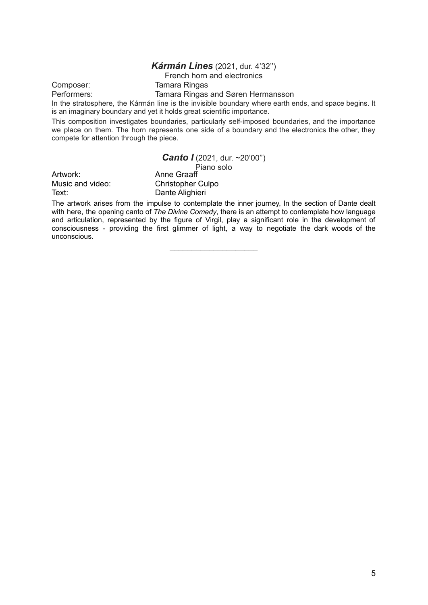#### *Kármán Lines* (2021, dur. 4'32'')

#### French horn and electronics

Composer: Tamara Ringas

Performers: Tamara Ringas and Søren Hermansson

In the stratosphere, the Kármán line is the invisible boundary where earth ends, and space begins. It is an imaginary boundary and yet it holds great scientific importance.

This composition investigates boundaries, particularly self-imposed boundaries, and the importance we place on them. The horn represents one side of a boundary and the electronics the other, they compete for attention through the piece.

*Canto I* (2021, dur. ~20'00")

|                  | Piano solo               |
|------------------|--------------------------|
| Artwork:         | Anne Graaff              |
| Music and video: | <b>Christopher Culpo</b> |
| Text:            | Dante Alighieri          |

The artwork arises from the impulse to contemplate the inner journey, In the section of Dante dealt with here, the opening canto of *The Divine Comedy*, there is an attempt to contemplate how language and articulation, represented by the figure of Virgil, play a significant role in the development of consciousness - providing the first glimmer of light, a way to negotiate the dark woods of the unconscious.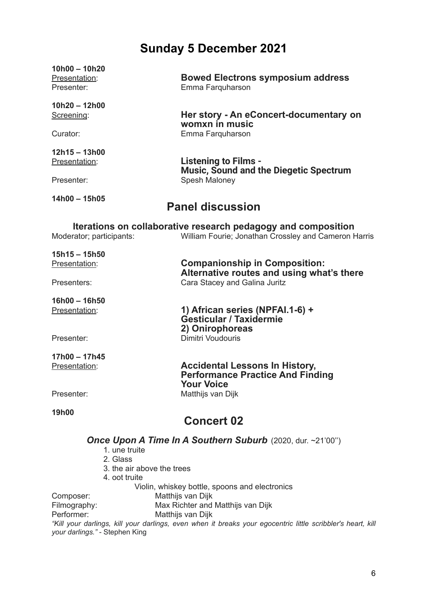# **Sunday 5 December 2021**

| $10h00 - 10h20$<br>Presentation:<br>Presenter: | <b>Bowed Electrons symposium address</b><br>Emma Farquharson                                                          |
|------------------------------------------------|-----------------------------------------------------------------------------------------------------------------------|
| 10h20 - 12h00<br>Screening:                    | Her story - An eConcert-documentary on<br>womxn in music                                                              |
| Curator:                                       | Emma Farquharson                                                                                                      |
| $12h15 - 13h00$<br>Presentation:               | <b>Listening to Films -</b><br><b>Music, Sound and the Diegetic Spectrum</b>                                          |
| Presenter:                                     | Spesh Maloney                                                                                                         |
| 14h00 - 15h05                                  | <b>Panel discussion</b>                                                                                               |
| Moderator; participants:                       | Iterations on collaborative research pedagogy and composition<br>William Fourie; Jonathan Crossley and Cameron Harris |
| $15h15 - 15h50$<br>Presentation:               | <b>Companionship in Composition:</b><br>Alternative routes and using what's there                                     |
| Presenters:                                    | Cara Stacey and Galina Juritz                                                                                         |
| 16h00 - 16h50                                  |                                                                                                                       |
| Presentation:                                  | 1) African series (NPFAI.1-6) +<br><b>Gesticular / Taxidermie</b><br>2) Onirophoreas                                  |
| Presenter:                                     | Dimitri Voudouris                                                                                                     |
| 17h00 - 17h45                                  |                                                                                                                       |
| Presentation:                                  | <b>Accidental Lessons In History,</b><br><b>Performance Practice And Finding</b><br><b>Your Voice</b>                 |
| Presenter:                                     | Matthijs van Dijk                                                                                                     |
| 19h00                                          | <b>Concert 02</b>                                                                                                     |
|                                                | Once Upon A Time In A Southern Suburb (2020, dur. ~21'00")                                                            |

- 1. une truite
- 2. Glass
- 3. the air above the trees
- 4. oot truite

Violin, whiskey bottle, spoons and electronics

Composer: Matthijs van Dijk<br>Filmography: Max Richter and Max Richter and Matthijs van Dijk

Performer: Matthijs van Dijk

*"Kill your darlings, kill your darlings, even when it breaks your egocentric little scribbler's heart, kill your darlings."* - Stephen King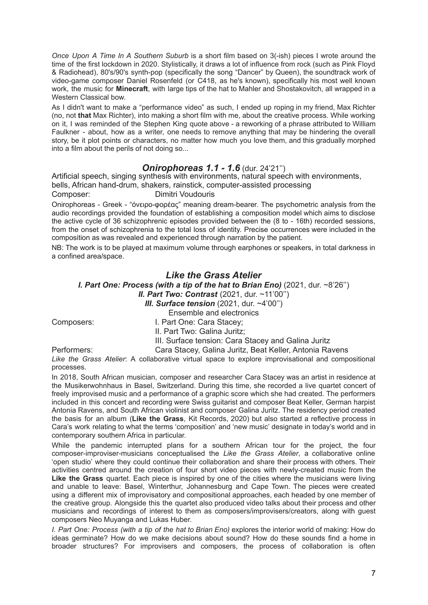*Once Upon A Time In A Southern Suburb* is a short film based on 3(-ish) pieces I wrote around the time of the first lockdown in 2020. Stylistically, it draws a lot of influence from rock (such as Pink Floyd & Radiohead), 80's/90's synth-pop (specifically the song "Dancer" by Queen), the soundtrack work of video-game composer Daniel Rosenfeld (or C418, as he's known), specifically his most well known work, the music for **Minecraft**, with large tips of the hat to Mahler and Shostakovitch, all wrapped in a Western Classical bow.

As I didn't want to make a "performance video" as such, I ended up roping in my friend, Max Richter (no, not **that** Max Richter), into making a short film with me, about the creative process. While working on it, I was reminded of the Stephen King quote above - a reworking of a phrase attributed to William Faulkner - about, how as a writer, one needs to remove anything that may be hindering the overall story, be it plot points or characters, no matter how much you love them, and this gradually morphed into a film about the perils of not doing so...

### *Onirophoreas 1.1 - 1.6* (dur. 24'21'')

Artificial speech, singing synthesis with environments, natural speech with environments, bells, African hand-drum, shakers, rainstick, computer-assisted processing Composer: Dimitri Voudouris

Onirophoreas - Greek - "όνειρο-φορέας" meaning dream-bearer. The psychometric analysis from the audio recordings provided the foundation of establishing a composition model which aims to disclose the active cycle of 36 schizophrenic episodes provided between the (8 to - 16th) recorded sessions, from the onset of schizophrenia to the total loss of identity. Precise occurrences were included in the composition as was revealed and experienced through narration by the patient.

NB: The work is to be played at maximum volume through earphones or speakers, in total darkness in a confined area/space.

### *Like the Grass Atelier*

*I. Part One: Process (with a tip of the hat to Brian Eno)* (2021, dur. ~8'26'')

*II. Part Two: Contrast* (2021, dur. ~11'00'')

*III. Surface tension* (2021, dur. ~4'00'')

Ensemble and electronics

Composers: I. Part One: Cara Stacey;

II. Part Two: Galina Juritz;

III. Surface tension: Cara Stacey and Galina Juritz

Performers: Cara Stacey, Galina Juritz, Beat Keller, Antonia Ravens

*Like the Grass Atelier*: A collaborative virtual space to explore improvisational and compositional processes.

In 2018, South African musician, composer and researcher Cara Stacey was an artist in residence at the Musikerwohnhaus in Basel, Switzerland. During this time, she recorded a live quartet concert of freely improvised music and a performance of a graphic score which she had created. The performers included in this concert and recording were Swiss guitarist and composer Beat Keller, German harpist Antonia Ravens, and South African violinist and composer Galina Juritz. The residency period created the basis for an album (**Like the Grass**, Kit Records, 2020) but also started a reflective process in Cara's work relating to what the terms 'composition' and 'new music' designate in today's world and in contemporary southern Africa in particular.

While the pandemic interrupted plans for a southern African tour for the project, the four composer-improviser-musicians conceptualised the *Like the Grass Atelier*, a collaborative online 'open studio' where they could continue their collaboration and share their process with others. Their activities centred around the creation of four short video pieces with newly-created music from the **Like the Grass** quartet. Each piece is inspired by one of the cities where the musicians were living and unable to leave: Basel, Winterthur, Johannesburg and Cape Town. The pieces were created using a different mix of improvisatory and compositional approaches, each headed by one member of the creative group. Alongside this the quartet also produced video talks about their process and other musicians and recordings of interest to them as composers/improvisers/creators, along with guest composers Neo Muyanga and Lukas Huber.

*I. Part One: Process (with a tip of the hat to Brian Eno)* explores the interior world of making: How do ideas germinate? How do we make decisions about sound? How do these sounds find a home in broader structures? For improvisers and composers, the process of collaboration is often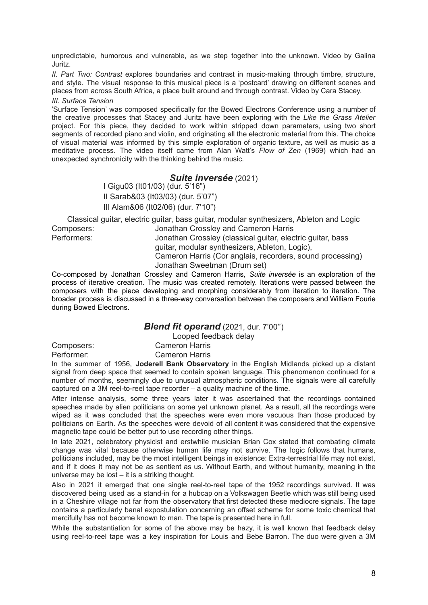unpredictable, humorous and vulnerable, as we step together into the unknown. Video by Galina Juritz.

*II. Part Two: Contrast* explores boundaries and contrast in music-making through timbre, structure, and style. The visual response to this musical piece is a 'postcard' drawing on different scenes and places from across South Africa, a place built around and through contrast. Video by Cara Stacey.

#### *III. Surface Tension*

'Surface Tension' was composed specifically for the Bowed Electrons Conference using a number of the creative processes that Stacey and Juritz have been exploring with the *Like the Grass Atelier* project. For this piece, they decided to work within stripped down parameters, using two short segments of recorded piano and violin, and originating all the electronic material from this. The choice of visual material was informed by this simple exploration of organic texture, as well as music as a meditative process. The video itself came from Alan Watt's *Flow of Zen* (1969) which had an unexpected synchronicity with the thinking behind the music.

#### *Suite inversée* (2021)

I Gigu03 (It01/03) (dur. 5'16") II Sarab&03 (It03/03) (dur. 5'07") III Alam&06 (It02/06) (dur. 7'10")

Classical guitar, electric guitar, bass guitar, modular synthesizers, Ableton and Logic Composers: Jonathan Crossley and Cameron Harris Performers: Jonathan Crossley (classical guitar, electric guitar, bass guitar, modular synthesizers, Ableton, Logic),

Cameron Harris (Cor anglais, recorders, sound processing) Jonathan Sweetman (Drum set)

Co-composed by Jonathan Crossley and Cameron Harris, *Suite inversée* is an exploration of the process of iterative creation. The music was created remotely. Iterations were passed between the composers with the piece developing and morphing considerably from iteration to iteration. The broader process is discussed in a three-way conversation between the composers and William Fourie during Bowed Electrons.

#### *Blend fit operand* (2021, dur. 7'00'')

Looped feedback delay Composers: Cameron Harris

Performer: Cameron Harris

In the summer of 1956, **Joderell Bank Observatory** in the English Midlands picked up a distant signal from deep space that seemed to contain spoken language. This phenomenon continued for a number of months, seemingly due to unusual atmospheric conditions. The signals were all carefully captured on a 3M reel-to-reel tape recorder – a quality machine of the time.

After intense analysis, some three years later it was ascertained that the recordings contained speeches made by alien politicians on some yet unknown planet. As a result, all the recordings were wiped as it was concluded that the speeches were even more vacuous than those produced by politicians on Earth. As the speeches were devoid of all content it was considered that the expensive magnetic tape could be better put to use recording other things.

In late 2021, celebratory physicist and erstwhile musician Brian Cox stated that combating climate change was vital because otherwise human life may not survive. The logic follows that humans, politicians included, may be the most intelligent beings in existence: Extra-terrestrial life may not exist, and if it does it may not be as sentient as us. Without Earth, and without humanity, meaning in the universe may be lost – it is a striking thought.

Also in 2021 it emerged that one single reel-to-reel tape of the 1952 recordings survived. It was discovered being used as a stand-in for a hubcap on a Volkswagen Beetle which was still being used in a Cheshire village not far from the observatory that first detected these mediocre signals. The tape contains a particularly banal expostulation concerning an offset scheme for some toxic chemical that mercifully has not become known to man. The tape is presented here in full.

While the substantiation for some of the above may be hazy, it is well known that feedback delay using reel-to-reel tape was a key inspiration for Louis and Bebe Barron. The duo were given a 3M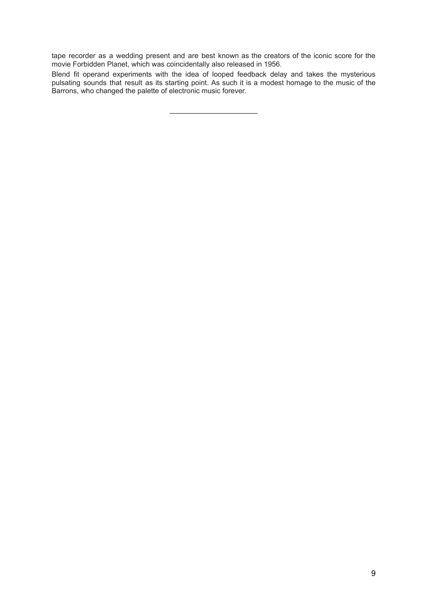tape recorder as a wedding present and are best known as the creators of the iconic score for the movie Forbidden Planet, which was coincidentally also released in 1956.

Blend fit operand experiments with the idea of looped feedback delay and takes the mysterious pulsating sounds that result as its starting point. As such it is a modest homage to the music of the Barrons, who changed the palette of electronic music forever.

\_\_\_\_\_\_\_\_\_\_\_\_\_\_\_\_\_\_\_\_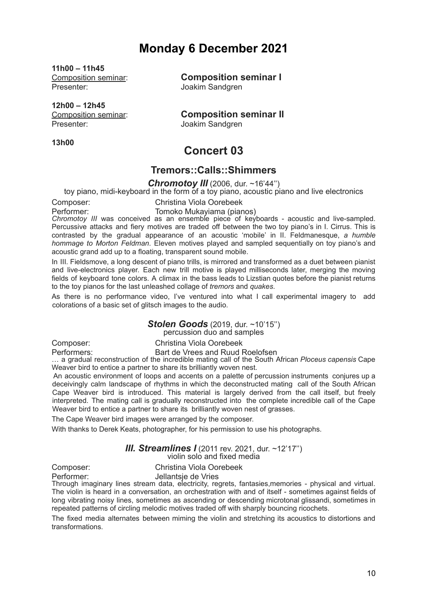# **Monday 6 December 2021**

**11h00 – 11h45** Presenter: Joakim Sandgren

**12h00 – 12h45** Presenter: Joakim Sandgren

**13h00**

Composition seminar: **Composition seminar I**

Composition seminar: **Composition seminar II**

**Concert 03**

# **Tremors::Calls::Shimmers**

*Chromotoy III* (2006, dur. ~16'44'')

toy piano, midi-keyboard in the form of a toy piano, acoustic piano and live electronics

Composer: Christina Viola Oorebeek

Performer: Tomoko Mukayiama (pianos) *Chromotoy III* was conceived as an ensemble piece of keyboards - acoustic and live-sampled. Percussive attacks and fiery motives are traded off between the two toy piano's in I. Cirrus. This is contrasted by the gradual appearance of an acoustic 'mobile' in II. Feldmanesque, *a humble hommage to Morton Feldman*. Eleven motives played and sampled sequentially on toy piano's and acoustic grand add up to a floating, transparent sound mobile.

In III. Fieldsmove, a long descent of piano trills, is mirrored and transformed as a duet between pianist and live-electronics player. Each new trill motive is played milliseconds later, merging the moving fields of keyboard tone colors. A climax in the bass leads to Lizstian quotes before the pianist returns to the toy pianos for the last unleashed collage of *tremors* and *quakes*.

As there is no performance video, I've ventured into what I call experimental imagery to add colorations of a basic set of glitsch images to the audio.

#### *Stolen Goods* (2019, dur. ~10'15'')

percussion duo and samples

Composer: Christina Viola Oorebeek

Performers: Bart de Vrees and Ruud Roelofsen … <sup>a</sup> gradual reconstruction of the incredible mating call of the South African *Ploceus capensis* Cape Weaver bird to entice a partner to share its brilliantly woven nest.

An acoustic environment of loops and accents on a palette of percussion instruments conjures up a deceivingly calm landscape of rhythms in which the deconstructed mating call of the South African Cape Weaver bird is introduced. This material is largely derived from the call itself, but freely interpreted. The mating call is gradually reconstructed into the complete incredible call of the Cape Weaver bird to entice a partner to share its brilliantly woven nest of grasses.

The Cape Weaver bird images were arranged by the composer.

With thanks to Derek Keats, photographer, for his permission to use his photographs.

#### *III. Streamlines I* (2011 rev. 2021, dur. ~12'17'') violin solo and fixed media

Composer: Christina Viola Oorebeek<br>
Performer: Jellantsie de Vries

Jellantsie de Vries Through imaginary lines stream data, electricity, regrets, fantasies,memories - physical and virtual. The violin is heard in a conversation, an orchestration with and of itself - sometimes against fields of long vibrating noisy lines, sometimes as ascending or descending microtonal glissandi, sometimes in repeated patterns of circling melodic motives traded off with sharply bouncing ricochets.

The fixed media alternates between miming the violin and stretching its acoustics to distortions and transformations.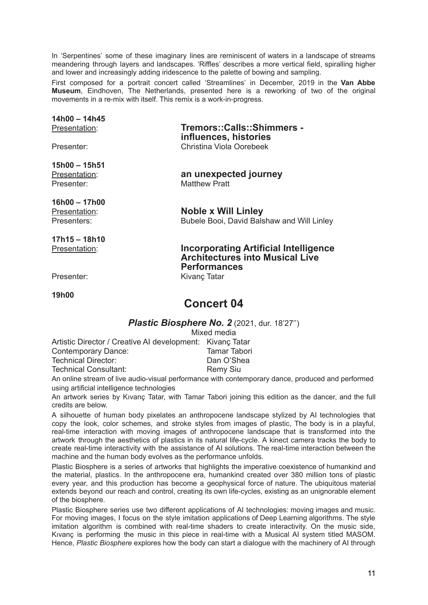In 'Serpentines' some of these imaginary lines are reminiscent of waters in a landscape of streams meandering through layers and landscapes. 'Riffles' describes a more vertical field, spiralling higher and lower and increasingly adding iridescence to the palette of bowing and sampling.

First composed for a portrait concert called 'Streamlines' in December, 2019 in the **Van Abbe Museum**, Eindhoven, The Netherlands, presented here is a reworking of two of the original movements in a re-mix with itself. This remix is a work-in-progress.

# **14h00 – 14h45**

**15h00 – 15h51** Presenter: Matthew Pratt

**16h00 – 17h00**

**17h15 – 18h10**

Presentation: **Tremors::Calls::Shimmers influences, histories** Presenter: Christina Viola Oorebeek

Presentation: **an unexpected journey**

Presentation: **Noble x Will Linley** Presenters: Bubele Booi, David Balshaw and Will Linley

Presentation: **Incorporating Artificial Intelligence Architectures into Musical Live Performances** Presenter: Kivanç Tatar

**19h00**

# **Concert 04**

*Plastic Biosphere No. 2* (2021, dur. 18'27'')

Mixed media Artistic Director / Creative AI development: Kivanç Tatar Contemporary Dance: Tamar Tabori Technical Director: Dan O'Shea Technical Consultant: Remy Siu

An online stream of live audio-visual performance with contemporary dance, produced and performed using artificial intelligence technologies

An artwork series by Kıvanç Tatar, with Tamar Tabori joining this edition as the dancer, and the full credits are below.

A silhouette of human body pixelates an anthropocene landscape stylized by AI technologies that copy the look, color schemes, and stroke styles from images of plastic, The body is in a playful, real-time interaction with moving images of anthropocene landscape that is transformed into the artwork through the aesthetics of plastics in its natural life-cycle. A kinect camera tracks the body to create real-time interactivity with the assistance of AI solutions. The real-time interaction between the machine and the human body evolves as the performance unfolds.

Plastic Biosphere is a series of artworks that highlights the imperative coexistence of humankind and the material, plastics. In the anthropocene era, humankind created over 380 million tons of plastic every year, and this production has become a geophysical force of nature. The ubiquitous material extends beyond our reach and control, creating its own life-cycles, existing as an unignorable element of the biosphere.

Plastic Biosphere series use two different applications of AI technologies: moving images and music. For moving images, I focus on the style imitation applications of Deep Learning algorithms. The style imitation algorithm is combined with real-time shaders to create interactivity. On the music side, Kıvanç is performing the music in this piece in real-time with a Musical AI system titled MASOM. Hence, *Plastic Biosphere* explores how the body can start a dialogue with the machinery of AI through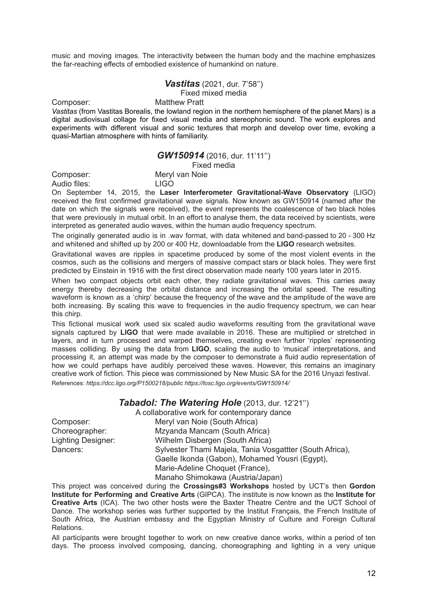music and moving images. The interactivity between the human body and the machine emphasizes the far-reaching effects of embodied existence of humankind on nature.

#### *Vastitas* (2021, dur. 7'58'')

Fixed mixed media

Composer: Matthew Pratt

*Vastitas* (from Vastitas Borealis, the lowland region in the northern hemisphere of the planet Mars) is a digital audiovisual collage for fixed visual media and stereophonic sound. The work explores and experiments with different visual and sonic textures that morph and develop over time, evoking a quasi-Martian atmosphere with hints of familiarity.

#### *GW150914* (2016, dur. 11'11'')

Fixed media

Composer: Meryl van Noie

Audio files: LIGO On September 14, 2015, the **Laser Interferometer Gravitational-Wave Observatory** (LIGO)

received the first confirmed gravitational wave signals. Now known as GW150914 (named after the date on which the signals were received), the event represents the coalescence of two black holes that were previously in mutual orbit. In an effort to analyse them, the data received by scientists, were interpreted as generated audio waves, within the human audio frequency spectrum.

The originally generated audio is in .wav format, with data whitened and band-passed to 20 - 300 Hz and whitened and shifted up by 200 or 400 Hz, downloadable from the **LIGO** research websites.

Gravitational waves are ripples in spacetime produced by some of the most violent events in the cosmos, such as the collisions and mergers of massive compact stars or black holes. They were first predicted by Einstein in 1916 with the first direct observation made nearly 100 years later in 2015.

When two compact objects orbit each other, they radiate gravitational waves. This carries away energy thereby decreasing the orbital distance and increasing the orbital speed. The resulting waveform is known as a 'chirp' because the frequency of the wave and the amplitude of the wave are both increasing. By scaling this wave to frequencies in the audio frequency spectrum, we can hear this chirp.

This fictional musical work used six scaled audio waveforms resulting from the gravitational wave signals captured by **LIGO** that were made available in 2016. These are multiplied or stretched in layers, and in turn processed and warped themselves, creating even further 'ripples' representing masses colliding. By using the data from **LIGO**, scaling the audio to 'musical' interpretations, and processing it, an attempt was made by the composer to demonstrate a fluid audio representation of how we could perhaps have audibly perceived these waves. However, this remains an imaginary creative work of fiction. This piece was commissioned by New Music SA for the 2016 Unyazi festival. References: *https://dcc.ligo.org/P1500218/public https://losc.ligo.org/events/GW150914/*

#### *Tabadol: The Watering Hole* (2013, dur. 12'21'')

A collaborative work for contemporary dance Composer: Meryl van Noie (South Africa) Choreographer: Mzyanda Mancam (South Africa) Lighting Designer: Wilhelm Disbergen (South Africa) Dancers: Sylvester Thami Majela, Tania Vosgattter (South Africa), Gaelle Ikonda (Gabon), Mohamed Yousri (Egypt), Marie-Adeline Choquet (France),

Manaho Shimokawa (Austria/Japan)

This project was conceived during the **Crossings#3 Workshops** hosted by UCT's then **Gordon Institute for Performing and Creative Arts** (GIPCA). The institute is now known as the **Institute for Creative Arts** (ICA). The two other hosts were the Baxter Theatre Centre and the UCT School of Dance. The workshop series was further supported by the Institut Français, the French Institute of South Africa, the Austrian embassy and the Egyptian Ministry of Culture and Foreign Cultural Relations.

All participants were brought together to work on new creative dance works, within a period of ten days. The process involved composing, dancing, choreographing and lighting in a very unique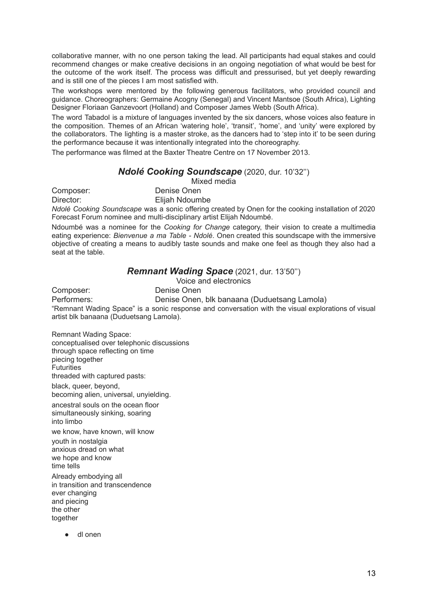collaborative manner, with no one person taking the lead. All participants had equal stakes and could recommend changes or make creative decisions in an ongoing negotiation of what would be best for the outcome of the work itself. The process was difficult and pressurised, but yet deeply rewarding and is still one of the pieces I am most satisfied with.

The workshops were mentored by the following generous facilitators, who provided council and guidance. Choreographers: Germaine Acogny (Senegal) and Vincent Mantsoe (South Africa), Lighting Designer Floriaan Ganzevoort (Holland) and Composer James Webb (South Africa).

The word Tabadol is a mixture of languages invented by the six dancers, whose voices also feature in the composition. Themes of an African 'watering hole', 'transit', 'home', and 'unity' were explored by the collaborators. The lighting is a master stroke, as the dancers had to 'step into it' to be seen during the performance because it was intentionally integrated into the choreography.

The performance was filmed at the Baxter Theatre Centre on 17 November 2013.

### *Ndolé Cooking Soundscape* (2020, dur. 10'32'')

Mixed media

Composer: Denise Onen

Director: Elijah Ndoumbe

*Ndolé Cooking Soundscape* was a sonic offering created by Onen for the cooking installation of 2020 Forecast Forum nominee and multi-disciplinary artist Elijah Ndoumbé.

Ndoumbé was a nominee for the *Cooking for Change* category, their vision to create a multimedia eating experience: *Bienvenue a ma Table - Ndolé*. Onen created this soundscape with the immersive objective of creating a means to audibly taste sounds and make one feel as though they also had a seat at the table.

# *Remnant Wading Space* (2021, dur. 13'50'')

Voice and electronics

Composer: Denise Onen

Performers: Denise Onen, blk banaana (Duduetsang Lamola)

"Remnant Wading Space" is a sonic response and conversation with the visual explorations of visual artist blk banaana (Duduetsang Lamola).

Remnant Wading Space: conceptualised over telephonic discussions through space reflecting on time piecing together **Futurities** threaded with captured pasts:

black, queer, beyond, becoming alien, universal, unyielding.

ancestral souls on the ocean floor simultaneously sinking, soaring into limbo

we know, have known, will know

youth in nostalgia anxious dread on what we hope and know time tells

Already embodying all in transition and transcendence ever changing and piecing the other together

● dl onen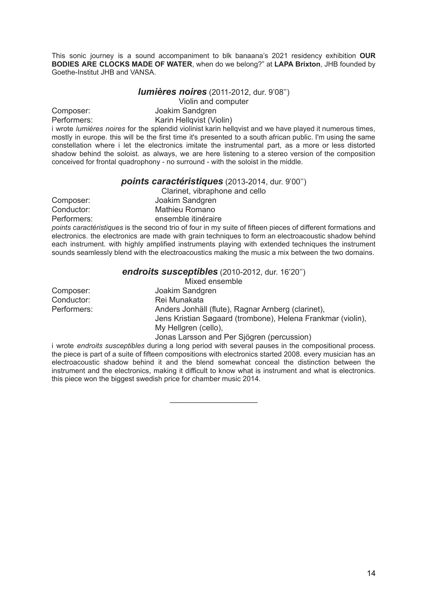This sonic journey is a sound accompaniment to blk banaana's 2021 residency exhibition **OUR BODIES ARE CLOCKS MADE OF WATER**, when do we belong?" at **LAPA Brixton**, JHB founded by Goethe-Institut JHB and VANSA.

*lumières noires* (2011-2012, dur. 9'08'')

Violin and computer

Composer: Joakim Sandgren Performers: Karin Hellqvist (Violin)

i wrote *lumières noires* for the splendid violinist karin hellqvist and we have played it numerous times, mostly in europe. this will be the first time it's presented to a south african public. I'm using the same constellation where i let the electronics imitate the instrumental part, as a more or less distorted shadow behind the soloist. as always, we are here listening to a stereo version of the composition conceived for frontal quadrophony - no surround - with the soloist in the middle.

#### *points caractéristiques* (2013-2014, dur. 9'00'')

Clarinet, vibraphone and cello Composer: Joakim Sandgren Conductor: Mathieu Romano Performers: ensemble itinéraire

*points caractéristiques* is the second trio of four in my suite of fifteen pieces of different formations and electronics. the electronics are made with grain techniques to form an electroacoustic shadow behind each instrument. with highly amplified instruments playing with extended techniques the instrument sounds seamlessly blend with the electroacoustics making the music a mix between the two domains.

#### *endroits susceptibles* (2010-2012, dur. 16'20'')

| Mixed ensemble                                              |
|-------------------------------------------------------------|
| Joakim Sandgren                                             |
| Rei Munakata                                                |
| Anders Jonhäll (flute), Ragnar Arnberg (clarinet),          |
| Jens Kristian Søgaard (trombone), Helena Frankmar (violin), |
| My Hellgren (cello),                                        |
| Jonas Larsson and Per Sjögren (percussion)                  |
|                                                             |

i wrote *endroits susceptibles* during a long period with several pauses in the compositional process. the piece is part of a suite of fifteen compositions with electronics started 2008. every musician has an electroacoustic shadow behind it and the blend somewhat conceal the distinction between the instrument and the electronics, making it difficult to know what is instrument and what is electronics. this piece won the biggest swedish price for chamber music 2014.

\_\_\_\_\_\_\_\_\_\_\_\_\_\_\_\_\_\_\_\_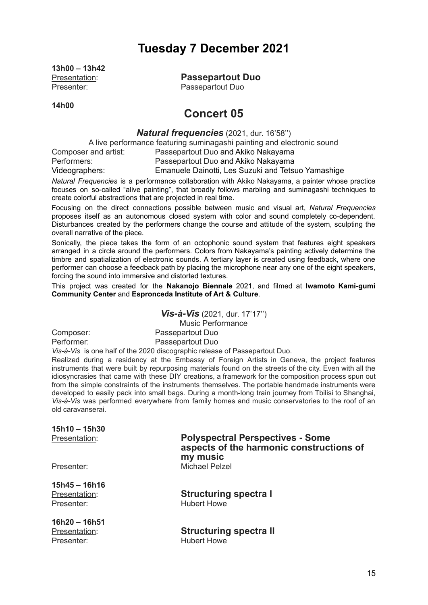# **Tuesday 7 December 2021**

**13h00 – 13h42** Presenter: Passepartout Duo

Presentation: **Passepartout Duo**

**14h00**

# **Concert 05**

*Natural frequencies* (2021, dur. 16'58'')

A live performance featuring suminagashi painting and electronic sound

Composer and artist: Passepartout Duo and Akiko Nakayama<br>
Passepartout Duo and Akiko Nakayama<br>
Passepartout Duo and Akiko Nakayama Passepartout Duo and Akiko Nakayama

Videographers: Emanuele Dainotti, Les Suzuki and Tetsuo Yamashige

*Natural Frequencies* is a performance collaboration with Akiko Nakayama, a painter whose practice focuses on so-called "alive painting", that broadly follows marbling and suminagashi techniques to create colorful abstractions that are projected in real time.

Focusing on the direct connections possible between music and visual art, *Natural Frequencies* proposes itself as an autonomous closed system with color and sound completely co-dependent. Disturbances created by the performers change the course and attitude of the system, sculpting the overall narrative of the piece.

Sonically, the piece takes the form of an octophonic sound system that features eight speakers arranged in a circle around the performers. Colors from Nakayama's painting actively determine the timbre and spatialization of electronic sounds. A tertiary layer is created using feedback, where one performer can choose a feedback path by placing the microphone near any one of the eight speakers, forcing the sound into immersive and distorted textures.

This project was created for the **Nakanojo Biennale** 2021, and filmed at **Iwamoto Kami-gumi Community Center** and **Espronceda Institute of Art & Culture**.

*Vis-à-Vis* (2021, dur. 17'17'') Music Performance Composer: Passepartout Duo Performer: Passepartout Duo

*Vis-à-Vis* is one half of the 2020 discographic release of Passepartout Duo.

Realized during a residency at the Embassy of Foreign Artists in Geneva, the project features instruments that were built by repurposing materials found on the streets of the city. Even with all the idiosyncrasies that came with these DIY creations, a framework for the composition process spun out from the simple constraints of the instruments themselves. The portable handmade instruments were developed to easily pack into small bags. During a month-long train journey from Tbilisi to Shanghai, *Vis-à-Vis* was performed everywhere from family homes and music conservatories to the roof of an old caravanserai.

| 15h10 - 15h30               |                                                                                                 |
|-----------------------------|-------------------------------------------------------------------------------------------------|
| Presentation:               | <b>Polyspectral Perspectives - Some</b><br>aspects of the harmonic constructions of<br>my music |
| Presenter:                  | <b>Michael Pelzel</b>                                                                           |
| 15h45 - 16h16               |                                                                                                 |
| Presentation:<br>Presenter: | <b>Structuring spectra I</b><br><b>Hubert Howe</b>                                              |
| 16h20 - 16h51               |                                                                                                 |
| Presentation:               | <b>Structuring spectrall</b>                                                                    |

Presenter: Hubert Howe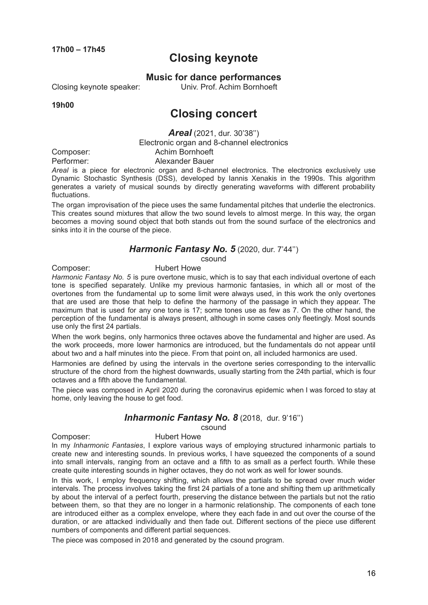**17h00 – 17h45**

# **Closing keynote**

**Music for dance performances**

Closing keynote speaker: Univ. Prof. Achim Bornhoeft

**19h00**

# **Closing concert**

*Areal* (2021, dur. 30'38'')

Electronic organ and 8-channel electronics

Composer: Achim Bornhoeft Performer: Alexander Bauer

*Areal* is a piece for electronic organ and 8-channel electronics. The electronics exclusively use Dynamic Stochastic Synthesis (DSS), developed by Iannis Xenakis in the 1990s. This algorithm generates a variety of musical sounds by directly generating waveforms with different probability fluctuations.

The organ improvisation of the piece uses the same fundamental pitches that underlie the electronics. This creates sound mixtures that allow the two sound levels to almost merge. In this way, the organ becomes a moving sound object that both stands out from the sound surface of the electronics and sinks into it in the course of the piece.

### *Harmonic Fantasy No. 5* (2020, dur. 7'44'')

csound

Composer: Hubert Howe

*Harmonic Fantasy No. 5* is pure overtone music, which is to say that each individual overtone of each tone is specified separately. Unlike my previous harmonic fantasies, in which all or most of the overtones from the fundamental up to some limit were always used, in this work the only overtones that are used are those that help to define the harmony of the passage in which they appear. The maximum that is used for any one tone is 17; some tones use as few as 7. On the other hand, the perception of the fundamental is always present, although in some cases only fleetingly. Most sounds use only the first 24 partials.

When the work begins, only harmonics three octaves above the fundamental and higher are used. As the work proceeds, more lower harmonics are introduced, but the fundamentals do not appear until about two and a half minutes into the piece. From that point on, all included harmonics are used.

Harmonies are defined by using the intervals in the overtone series corresponding to the intervallic structure of the chord from the highest downwards, usually starting from the 24th partial, which is four octaves and a fifth above the fundamental.

The piece was composed in April 2020 during the coronavirus epidemic when I was forced to stay at home, only leaving the house to get food.

# *Inharmonic Fantasy No. 8* (2018, dur. 9'16'')

csound

Composer: Hubert Howe

In my *Inharmonic Fantasies*, I explore various ways of employing structured inharmonic partials to create new and interesting sounds. In previous works, I have squeezed the components of a sound into small intervals, ranging from an octave and a fifth to as small as a perfect fourth. While these create quite interesting sounds in higher octaves, they do not work as well for lower sounds.

In this work, I employ frequency shifting, which allows the partials to be spread over much wider intervals. The process involves taking the first 24 partials of a tone and shifting them up arithmetically by about the interval of a perfect fourth, preserving the distance between the partials but not the ratio between them, so that they are no longer in a harmonic relationship. The components of each tone are introduced either as a complex envelope, where they each fade in and out over the course of the duration, or are attacked individually and then fade out. Different sections of the piece use different numbers of components and different partial sequences.

The piece was composed in 2018 and generated by the csound program.

16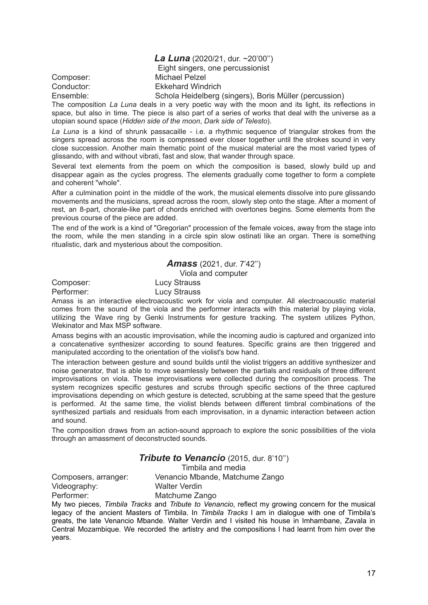*La Luna* (2020/21, dur. ~20'00'')

Eight singers, one percussionist

Composer: Michael Pelzel Conductor: Ekkehard Windrich

Ensemble: Schola Heidelberg (singers), Boris Müller (percussion)

The composition *La Luna* deals in a very poetic way with the moon and its light, its reflections in space, but also in time. The piece is also part of a series of works that deal with the universe as a utopian sound space (*Hidden side of the moon*, *Dark side of Telesto*).

*La Luna* is a kind of shrunk passacaille - i.e. a rhythmic sequence of triangular strokes from the singers spread across the room is compressed ever closer together until the strokes sound in very close succession. Another main thematic point of the musical material are the most varied types of glissando, with and without vibrati, fast and slow, that wander through space.

Several text elements from the poem on which the composition is based, slowly build up and disappear again as the cycles progress. The elements gradually come together to form a complete and coherent "whole".

After a culmination point in the middle of the work, the musical elements dissolve into pure glissando movements and the musicians, spread across the room, slowly step onto the stage. After a moment of rest, an 8-part, chorale-like part of chords enriched with overtones begins. Some elements from the previous course of the piece are added.

The end of the work is a kind of "Gregorian" procession of the female voices, away from the stage into the room, while the men standing in a circle spin slow ostinati like an organ. There is something ritualistic, dark and mysterious about the composition.

*Amass* (2021, dur. 7'42'')

Viola and computer

Composer: Lucy Strauss

Performer: Lucy Strauss

Amass is an interactive electroacoustic work for viola and computer. All electroacoustic material comes from the sound of the viola and the performer interacts with this material by playing viola, utilizing the Wave ring by Genki Instruments for gesture tracking. The system utilizes Python, Wekinator and Max MSP software.

Amass begins with an acoustic improvisation, while the incoming audio is captured and organized into a concatenative synthesizer according to sound features. Specific grains are then triggered and manipulated according to the orientation of the violist's bow hand.

The interaction between gesture and sound builds until the violist triggers an additive synthesizer and noise generator, that is able to move seamlessly between the partials and residuals of three different improvisations on viola. These improvisations were collected during the composition process. The system recognizes specific gestures and scrubs through specific sections of the three captured improvisations depending on which gesture is detected, scrubbing at the same speed that the gesture is performed. At the same time, the violist blends between different timbral combinations of the synthesized partials and residuals from each improvisation, in a dynamic interaction between action and sound.

The composition draws from an action-sound approach to explore the sonic possibilities of the viola through an amassment of deconstructed sounds.

#### *Tribute to Venancio* (2015, dur. 8'10'')

Timbila and media

Composers, arranger: Venancio Mbande, Matchume Zango Videography: Walter Verdin

Performer: Matchume Zango

My two pieces, *Timbila Tracks* and *Tribute to Venancio*, reflect my growing concern for the musical legacy of the ancient Masters of Timbila. In *Timbila Tracks* I am in dialogue with one of Timbila's greats, the late Venancio Mbande. Walter Verdin and I visited his house in Imhambane, Zavala in Central Mozambique. We recorded the artistry and the compositions I had learnt from him over the years.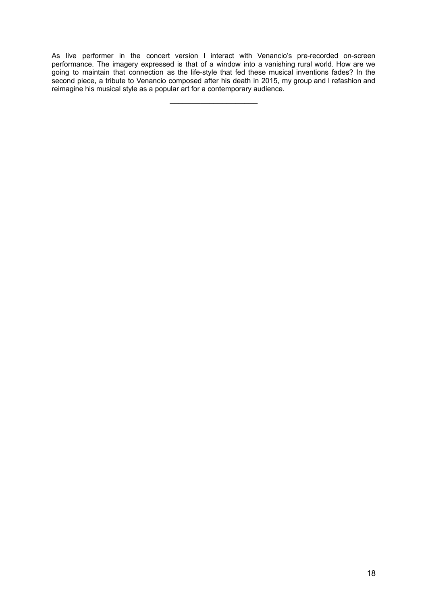As live performer in the concert version I interact with Venancio's pre-recorded on-screen performance. The imagery expressed is that of a window into a vanishing rural world. How are we going to maintain that connection as the life-style that fed these musical inventions fades? In the second piece, a tribute to Venancio composed after his death in 2015, my group and I refashion and reimagine his musical style as a popular art for a contemporary audience.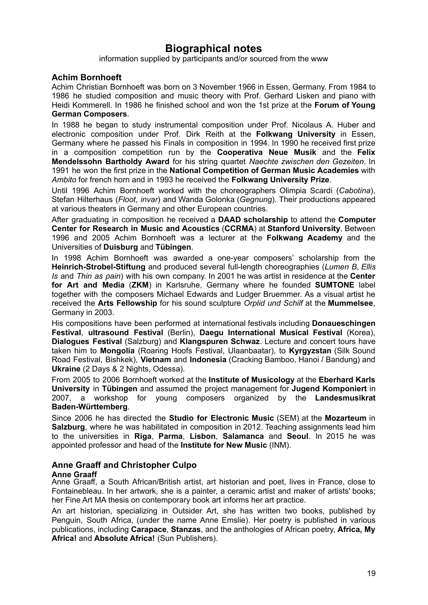# **Biographical notes**

information supplied by participants and/or sourced from the www

# **Achim Bornhoeft**

Achim Christian Bornhoeft was born on 3 November 1966 in Essen, Germany. From 1984 to 1986 he studied composition and music theory with Prof. Gerhard Lisken and piano with Heidi Kommerell. In 1986 he finished school and won the 1st prize at the **Forum of Young German Composers**.

In 1988 he began to study instrumental composition under Prof. Nicolaus A. Huber and electronic composition under Prof. Dirk Reith at the **Folkwang University** in Essen, Germany where he passed his Finals in composition in 1994. In 1990 he received first prize in a composition competition run by the **Cooperativa Neue Musik** and the **Felix Mendelssohn Bartholdy Award** for his string quartet *Naechte zwischen den Gezeiten*. In 1991 he won the first prize in the **National Competition of German Music Academies** with *Ambito* for french horn and in 1993 he received the **Folkwang University Prize**.

Until 1996 Achim Bornhoeft worked with the choreographers Olimpia Scardi (*Cabotina*), Stefan Hilterhaus (*Floot*, *invar*) and Wanda Golonka (*Gegnung*). Their productions appeared at various theaters in Germany and other European countries.

After graduating in composition he received a **DAAD scholarship** to attend the **Computer Center for Research in Music and Acoustics** (**CCRMA**) at **Stanford University**. Between 1996 and 2005 Achim Bornhoeft was a lecturer at the **Folkwang Academy** and the Universities of **Duisburg** and **Tübingen**.

In 1998 Achim Bornhoeft was awarded a one-year composers' scholarship from the **Heinrich-Strobel-Stiftung** and produced several full-length choreographies (*Lumen B*, *Ellis Is* and *Thin as pain*) with his own company. In 2001 he was artist in residence at the **Center for Art and Media** (**ZKM**) in Karlsruhe, Germany where he founded **SUMTONE** label together with the composers Michael Edwards and Ludger Bruemmer. As a visual artist he received the **Arts Fellowship** for his sound sculpture *Orplid und Schilf* at the **Mummelsee**, Germany in 2003.

His compositions have been performed at international festivals including **Donaueschingen Festival**, **ultrasound Festival** (Berlin), **Daegu International Musical Festival** (Korea), **Dialogues Festival** (Salzburg) and **Klangspuren Schwaz**. Lecture and concert tours have taken him to **Mongolia** (Roaring Hoofs Festival, Ulaanbaatar), to **Kyrgyzstan** (Silk Sound Road Festival, Bishkek), **Vietnam** and **Indonesia** (Cracking Bamboo, Hanoi / Bandung) and **Ukraine** (2 Days & 2 Nights, Odessa).

From 2005 to 2006 Bornhoeft worked at the **Institute of Musicology** at the **Eberhard Karls University** in **Tübingen** and assumed the project management for **Jugend Komponiert** in 2007, a workshop for young composers organized by the **Landesmusikrat Baden-Württemberg**.

Since 2006 he has directed the **Studio for Electronic Music** (SEM) at the **Mozarteum** in **Salzburg**, where he was habilitated in composition in 2012. Teaching assignments lead him to the universities in **Riga**, **Parma**, **Lisbon**, **Salamanca** and **Seoul**. In 2015 he was appointed professor and head of the **Institute for New Music** (INM).

# **Anne Graaff and Christopher Culpo**

#### **Anne Graaff**

Anne Graaff, a South African/British artist, art historian and poet, lives in France, close to Fontainebleau. In her artwork, she is a painter, a ceramic artist and maker of artists' books; her Fine Art MA thesis on contemporary book art informs her art practice.

An art historian, specializing in Outsider Art, she has written two books, published by Penguin, South Africa, (under the name Anne Emslie). Her poetry is published in various publications, including **Carapace**, **Stanzas**, and the anthologies of African poetry, **Africa, My Africa!** and **Absolute Africa!** (Sun Publishers).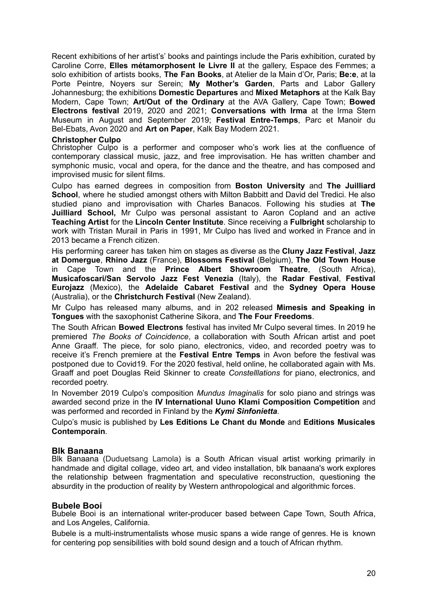Recent exhibitions of her artist's' books and paintings include the Paris exhibition, curated by Caroline Corre, **Elles métamorphosent le Livre II** at the gallery, Espace des Femmes; a solo exhibition of artists books, **The Fan Books**, at Atelier de la Main d'Or, Paris; **Be:e**, at la Porte Peintre, Noyers sur Serein; **My Mother's Garden**, Parts and Labor Gallery Johannesburg; the exhibitions **Domestic Departures** and **Mixed Metaphors** at the Kalk Bay Modern, Cape Town; **Art/Out of the Ordinary** at the AVA Gallery, Cape Town; **Bowed Electrons festival** 2019, 2020 and 2021; **Conversations with Irma** at the Irma Stern Museum in August and September 2019; **Festival Entre-Temps**, Parc et Manoir du Bel-Ebats, Avon 2020 and **Art on Paper**, Kalk Bay Modern 2021.

#### **Christopher Culpo**

Christopher Culpo is a performer and composer who's work lies at the confluence of contemporary classical music, jazz, and free improvisation. He has written chamber and symphonic music, vocal and opera, for the dance and the theatre, and has composed and improvised music for silent films.

Culpo has earned degrees in composition from **Boston University** and **The Juilliard School**, where he studied amongst others with Milton Babbitt and David del Tredici. He also studied piano and improvisation with Charles Banacos. Following his studies at **The Juilliard School,** Mr Culpo was personal assistant to Aaron Copland and an active **Teaching Artist** for the **Lincoln Center Institute**. Since receiving a **Fulbright** scholarship to work with Tristan Murail in Paris in 1991, Mr Culpo has lived and worked in France and in 2013 became a French citizen.

His performing career has taken him on stages as diverse as the **Cluny Jazz Festival**, **Jazz at Domergue**, **Rhino Jazz** (France), **Blossoms Festival** (Belgium), **The Old Town House** in Cape Town and the **Prince Albert Showroom Theatre**, (South Africa), **Musicafoscari/San Servolo Jazz Fest Venezia** (Italy), the **Radar Festival**, **Festival Eurojazz** (Mexico), the **Adelaide Cabaret Festival** and the **Sydney Opera House** (Australia), or the **Christchurch Festival** (New Zealand).

Mr Culpo has released many albums, and in 202 released **Mimesis and Speaking in Tongues** with the saxophonist Catherine Sikora, and **The Four Freedoms**.

The South African **Bowed Electrons** festival has invited Mr Culpo several times. In 2019 he premiered *The Books of Coincidence*, a collaboration with South African artist and poet Anne Graaff. The piece, for solo piano, electronics, video, and recorded poetry was to receive it's French premiere at the **Festival Entre Temps** in Avon before the festival was postponed due to Covid19. For the 2020 festival, held online, he collaborated again with Ms. Graaff and poet Douglas Reid Skinner to create *Constelllations* for piano, electronics, and recorded poetry.

In November 2019 Culpo's composition *Mundus Imaginalis* for solo piano and strings was awarded second prize in the **IV International Uuno Klami Composition Competition** and was performed and recorded in Finland by the *Kymi Sinfonietta*.

Culpo's music is published by **Les Editions Le Chant du Monde** and **Editions Musicales Contemporain**.

#### **Blk Banaana**

Blk Banaana (Duduetsang Lamola) is a South African visual artist working primarily in handmade and digital collage, video art, and video installation, blk banaana's work explores the relationship between fragmentation and speculative reconstruction, questioning the absurdity in the production of reality by Western anthropological and algorithmic forces.

#### **Bubele Booi**

Bubele Booi is an international writer-producer based between Cape Town, South Africa, and Los Angeles, California.

Bubele is a multi-instrumentalists whose music spans a wide range of genres. He is known for centering pop sensibilities with bold sound design and a touch of African rhythm.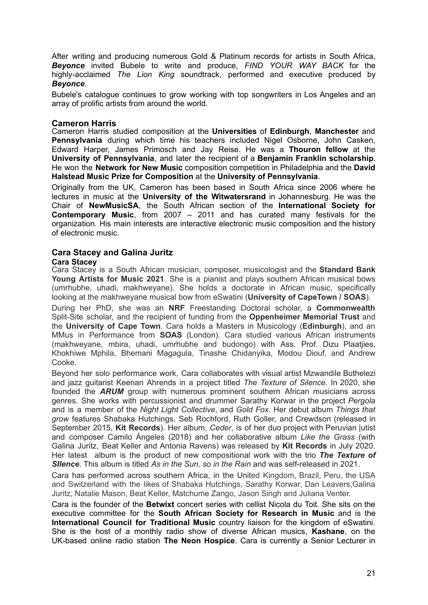After writing and producing numerous Gold & Platinum records for artists in South Africa, *Beyonce* invited Bubele to write and produce, *FIND YOUR WAY BACK* for the highly-acclaimed *The Lion King* soundtrack, performed and executive produced by *Beyonce*.

Bubele's catalogue continues to grow working with top songwriters in Los Angeles and an array of prolific artists from around the world.

#### **Cameron Harris**

Cameron Harris studied composition at the **Universities** of **Edinburgh**, **Manchester** and **Pennsylvania** during which time his teachers included Nigel Osborne, John Casken, Edward Harper, James Primosch and Jay Reise. He was a **Thouron fellow** at the **University of Pennsylvania**, and later the recipient of a **Benjamin Franklin scholarship**. He won the **Network for New Music** composition competition in Philadelphia and the **David Halstead Music Prize for Composition** at the **University of Pennsylvania**.

Originally from the UK, Cameron has been based in South Africa since 2006 where he lectures in music at the **University of the Witwatersrand** in Johannesburg. He was the Chair of **NewMusicSA**, the South African section of the **International Society for Contemporary Music**, from 2007 – 2011 and has curated many festivals for the organization. His main interests are interactive electronic music composition and the history of electronic music.

# **Cara Stacey and Galina Juritz**

#### **Cara Stacey**

Cara Stacey is a South African musician, composer, musicologist and the **Standard Bank Young Artists for Music 2021**. She is a pianist and plays southern African musical bows (umrhubhe, uhadi, makhweyane). She holds a doctorate in African music, specifically looking at the makhweyane musical bow from eSwatini (**University of CapeTown / SOAS**).

During her PhD, she was an **NRF** Freestanding Doctoral scholar, a **Commonwealth** Split-Site scholar, and the recipient of funding from the **Oppenheimer Memorial Trust** and the **University of Cape Town**. Cara holds a Masters in Musicology (**Edinburgh**), and an MMus in Performance from **SOAS** (London). Cara studied various African instruments (makhweyane, mbira, uhadi, umrhubhe and budongo) with Ass. Prof. Dizu Plaatjies, Khokhiwe Mphila, Bhemani Magagula, Tinashe Chidanyika, Modou Diouf, and Andrew Cooke.

Beyond her solo performance work, Cara collaborates with visual artist Mzwandile Buthelezi and jazz guitarist Keenan Ahrends in a project titled *The Texture of Silence*. In 2020, she founded the *ARUM* group with numerous prominent southern African musicians across genres. She works with percussionist and drummer Sarathy Korwar in the project *Pergola* and is a member of the *Night Light Collective*, and *Gold Fox*. Her debut album *Things that grow* features Shabaka Hutchings, Seb Rochford, Ruth Goller, and Crewdson (released in September 2015, **Kit Records**). Her album, *Ceder*, is of her duo project with Peruvian |utist and composer Camilo Ángeles (2018) and her collaborative album *Like the Grass* (with Galina Juritz, Beat Keller and Antonia Ravens) was released by **Kit Records** in July 2020. Her latest album is the product of new compositional work with the trio *The Texture of SIlence*. This album is titled *As in the Sun, so in the Rain* and was self-released in 2021.

Cara has performed across southern Africa, in the United Kingdom, Brazil, Peru, the USA and Switzerland with the likes of Shabaka Hutchings, Sarathy Korwar, Dan Leavers,Galina Juritz, Natalie Mason, Beat Keller, Matchume Zango, Jason Singh and Juliana Venter.

Cara is the founder of the **Betwixt** concert series with cellist Nicola du Toit. She sits on the executive committee for the **South African Society for Research in Music** and is the **International Council for Traditional Music** country liaison for the kingdom of eSwatini. She is the host of a monthly radio show of diverse African musics, **Kashane**, on the UK-based online radio station **The Neon Hospice**. Cara is currently a Senior Lecturer in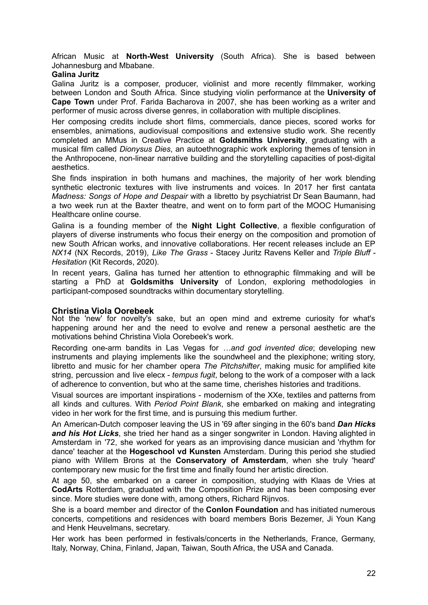African Music at **North-West University** (South Africa). She is based between Johannesburg and Mbabane.

#### **Galina Juritz**

Galina Juritz is a composer, producer, violinist and more recently filmmaker, working between London and South Africa. Since studying violin performance at the **University of Cape Town** under Prof. Farida Bacharova in 2007, she has been working as a writer and performer of music across diverse genres, in collaboration with multiple disciplines.

Her composing credits include short films, commercials, dance pieces, scored works for ensembles, animations, audiovisual compositions and extensive studio work. She recently completed an MMus in Creative Practice at **Goldsmiths University**, graduating with a musical film called *Dionysus Dies*, an autoethnographic work exploring themes of tension in the Anthropocene, non-linear narrative building and the storytelling capacities of post-digital aesthetics.

She finds inspiration in both humans and machines, the majority of her work blending synthetic electronic textures with live instruments and voices. In 2017 her first cantata *Madness: Songs of Hope and Despair* with a libretto by psychiatrist Dr Sean Baumann, had a two week run at the Baxter theatre, and went on to form part of the MOOC Humanising Healthcare online course.

Galina is a founding member of the **Night Light Collective**, a flexible configuration of players of diverse instruments who focus their energy on the composition and promotion of new South African works, and innovative collaborations. Her recent releases include an EP *NX14* (NX Records, 2019), *Like The Grass* - Stacey Juritz Ravens Keller and *Triple Bluff - Hesitation* (Kit Records, 2020).

In recent years, Galina has turned her attention to ethnographic filmmaking and will be starting a PhD at **Goldsmiths University** of London, exploring methodologies in participant-composed soundtracks within documentary storytelling.

#### **Christina Viola Oorebeek**

Not the 'new' for novelty's sake, but an open mind and extreme curiosity for what's happening around her and the need to evolve and renew a personal aesthetic are the motivations behind Christina Viola Oorebeek's work.

Recording one-arm bandits in Las Vegas for *…and god invented dice*; developing new instruments and playing implements like the soundwheel and the plexiphone; writing story, libretto and music for her chamber opera *The Pitchshifter*, making music for amplified kite string, percussion and live elecx - *tempus fugit*, belong to the work of a composer with a lack of adherence to convention, but who at the same time, cherishes histories and traditions.

Visual sources are important inspirations - modernism of the XXe, textiles and patterns from all kinds and cultures. With *Period Point Blank*, she embarked on making and integrating video in her work for the first time, and is pursuing this medium further.

An American-Dutch composer leaving the US in '69 after singing in the 60's band *Dan Hicks and his Hot Licks*, she tried her hand as a singer songwriter in London. Having alighted in Amsterdam in '72, she worked for years as an improvising dance musician and 'rhythm for dance' teacher at the **Hogeschool vd Kunsten** Amsterdam. During this period she studied piano with Willem Brons at the **Conservatory of Amsterdam**, when she truly 'heard' contemporary new music for the first time and finally found her artistic direction.

At age 50, she embarked on a career in composition, studying with Klaas de Vries at **CodArts** Rotterdam, graduated with the Composition Prize and has been composing ever since. More studies were done with, among others, Richard Rijnvos.

She is a board member and director of the **Conlon Foundation** and has initiated numerous concerts, competitions and residences with board members Boris Bezemer, Ji Youn Kang and Henk Heuvelmans, secretary.

Her work has been performed in festivals/concerts in the Netherlands, France, Germany, Italy, Norway, China, Finland, Japan, Taiwan, South Africa, the USA and Canada.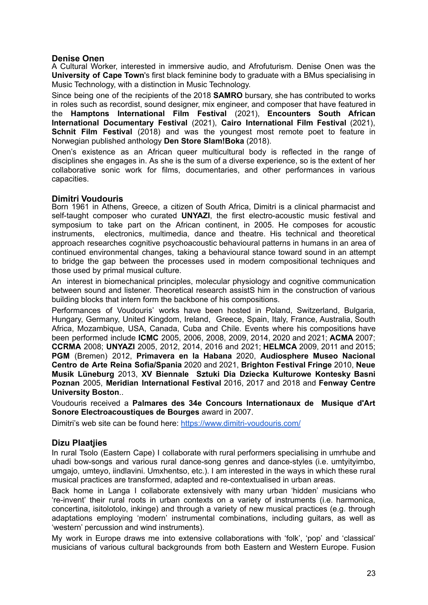### **Denise Onen**

A Cultural Worker, interested in immersive audio, and Afrofuturism. Denise Onen was the **University of Cape Town**'s first black feminine body to graduate with a BMus specialising in Music Technology, with a distinction in Music Technology.

Since being one of the recipients of the 2018 **SAMRO** bursary, she has contributed to works in roles such as recordist, sound designer, mix engineer, and composer that have featured in the **Hamptons International Film Festival** (2021), **Encounters South African International Documentary Festival** (2021), **Cairo International Film Festival** (2021), **Schnit Film Festival** (2018) and was the youngest most remote poet to feature in Norwegian published anthology **Den Store Slam!Boka** (2018).

Onen's existence as an African queer multicultural body is reflected in the range of disciplines she engages in. As she is the sum of a diverse experience, so is the extent of her collaborative sonic work for films, documentaries, and other performances in various capacities.

### **Dimitri Voudouris**

Born 1961 in Athens, Greece, a citizen of South Africa, Dimitri is a clinical pharmacist and self-taught composer who curated **UNYAZI**, the first electro-acoustic music festival and symposium to take part on the African continent, in 2005. He composes for acoustic instruments, electronics, multimedia, dance and theatre. His technical and theoretical approach researches cognitive psychoacoustic behavioural patterns in humans in an area of continued environmental changes, taking a behavioural stance toward sound in an attempt to bridge the gap between the processes used in modern compositional techniques and those used by primal musical culture.

An interest in biomechanical principles, molecular physiology and cognitive communication between sound and listener. Theoretical research assistS him in the construction of various building blocks that intern form the backbone of his compositions.

Performances of Voudouris' works have been hosted in Poland, Switzerland, Bulgaria, Hungary, Germany, United Kingdom, Ireland, Greece, Spain, Italy, France, Australia, South Africa, Mozambique, USA, Canada, Cuba and Chile. Events where his compositions have been performed include **ICMC** 2005, 2006, 2008, 2009, 2014, 2020 and 2021; **ACMA** 2007; **CCRMA** 2008; **UNYAZI** 2005, 2012, 2014, 2016 and 2021; **HELMCA** 2009, 2011 and 2015; **PGM** (Bremen) 2012, **Primavera en la Habana** 2020, **Audiosphere Museo Nacional Centro de Arte Reina Sofia/Spania** 2020 and 2021, **Brighton Festival Fringe** 2010, **Neue Musik Lüneburg** 2013, **XV Biennale Sztuki Dia Dziecka Kulturowe Kontesky Basni Poznan** 2005, **Meridian International Festival** 2016, 2017 and 2018 and **Fenway Centre University Boston**..

Voudouris received a **Palmares des 34e Concours Internationaux de Musique d'Art Sonore Electroacoustiques de Bourges** award in 2007.

Dimitri's web site can be found here: <https://www.dimitri-voudouris.com/>

#### **Dizu Plaatjies**

In rural Tsolo (Eastern Cape) I collaborate with rural performers specialising in umrhube and uhadi bow-songs and various rural dance-song genres and dance-styles (i.e. umtyityimbo, umgajo, umteyo, iindlavini. Umxhentso, etc.). I am interested in the ways in which these rural musical practices are transformed, adapted and re-contextualised in urban areas.

Back home in Langa I collaborate extensively with many urban 'hidden' musicians who 're-invent' their rural roots in urban contexts on a variety of instruments (i.e. harmonica, concertina, isitolotolo, inkinge) and through a variety of new musical practices (e.g. through adaptations employing 'modern' instrumental combinations, including guitars, as well as 'western' percussion and wind instruments).

My work in Europe draws me into extensive collaborations with 'folk', 'pop' and 'classical' musicians of various cultural backgrounds from both Eastern and Western Europe. Fusion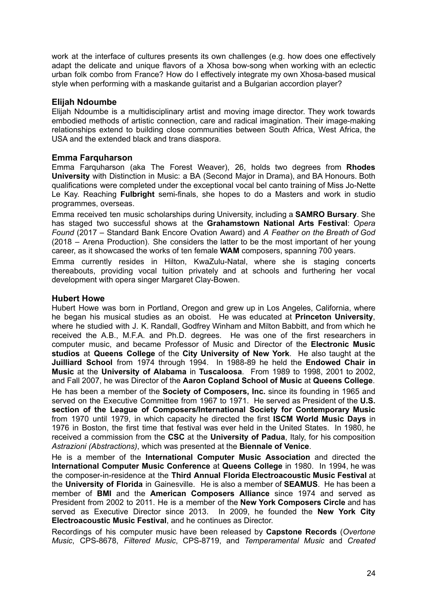work at the interface of cultures presents its own challenges (e.g. how does one effectively adapt the delicate and unique flavors of a Xhosa bow-song when working with an eclectic urban folk combo from France? How do I effectively integrate my own Xhosa-based musical style when performing with a maskande guitarist and a Bulgarian accordion player?

### **Elijah Ndoumbe**

Elijah Ndoumbe is a multidisciplinary artist and moving image director. They work towards embodied methods of artistic connection, care and radical imagination. Their image-making relationships extend to building close communities between South Africa, West Africa, the USA and the extended black and trans diaspora.

### **Emma Farquharson**

Emma Farquharson (aka The Forest Weaver), 26, holds two degrees from **Rhodes University** with Distinction in Music: a BA (Second Major in Drama), and BA Honours. Both qualifications were completed under the exceptional vocal bel canto training of Miss Jo-Nette Le Kay. Reaching **Fulbright** semi-finals, she hopes to do a Masters and work in studio programmes, overseas.

Emma received ten music scholarships during University, including a **SAMRO Bursary**. She has staged two successful shows at the **Grahamstown National Arts Festival**: *Opera Found* (2017 – Standard Bank Encore Ovation Award) and *A Feather on the Breath of God* (2018 – Arena Production). She considers the latter to be the most important of her young career, as it showcased the works of ten female **WAM** composers, spanning 700 years.

Emma currently resides in Hilton, KwaZulu-Natal, where she is staging concerts thereabouts, providing vocal tuition privately and at schools and furthering her vocal development with opera singer Margaret Clay-Bowen.

#### **Hubert Howe**

Hubert Howe was born in Portland, Oregon and grew up in Los Angeles, California, where he began his musical studies as an oboist. He was educated at **Princeton University**, where he studied with J. K. Randall, Godfrey Winham and Milton Babbitt, and from which he received the A.B., M.F.A. and Ph.D. degrees. He was one of the first researchers in computer music, and became Professor of Music and Director of the **Electronic Music studios** at **Queens College** of the **City University of New York**. He also taught at the **Juilliard School** from 1974 through 1994. In 1988-89 he held the **Endowed Chair in Music** at the **University of Alabama** in **Tuscaloosa**. From 1989 to 1998, 2001 to 2002, and Fall 2007, he was Director of the **Aaron Copland School of Music** at **Queens College**. He has been a member of the **Society of Composers, Inc.** since its founding in 1965 and served on the Executive Committee from 1967 to 1971. He served as President of the **U.S. section of the League of Composers/International Society for Contemporary Music** from 1970 until 1979, in which capacity he directed the first **ISCM World Music Days** in 1976 in Boston, the first time that festival was ever held in the United States. In 1980, he received a commission from the **CSC** at the **University of Padua**, Italy, for his composition *Astrazioni (Abstractions)*, which was presented at the **Biennale of Venice**.

He is a member of the **International Computer Music Association** and directed the **International Computer Music Conference** at **Queens College** in 1980. In 1994, he was the composer-in-residence at the **Third Annual Florida Electroacoustic Music Festival** at the **University of Florida** in Gainesville. He is also a member of **SEAMUS**. He has been a member of **BMI** and the **American Composers Alliance** since 1974 and served as President from 2002 to 2011. He is a member of the **New York Composers Circle** and has served as Executive Director since 2013. In 2009, he founded the **New York City Electroacoustic Music Festival**, and he continues as Director.

Recordings of his computer music have been released by **Capstone Records** (*Overtone Music*, CPS-8678, *Filtered Music*, CPS-8719, and *Temperamental Music* and *Created*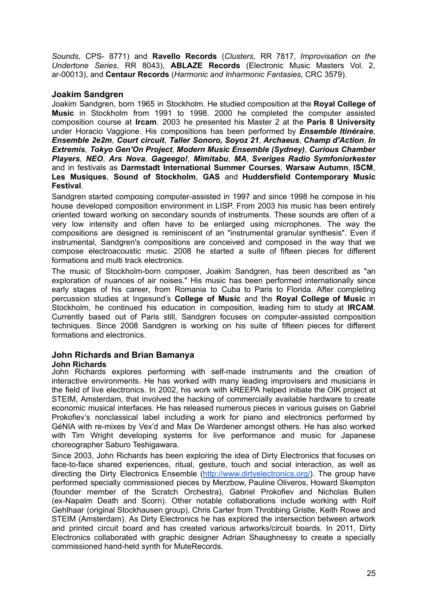*Sounds*, CPS- 8771) and **Ravello Records** (*Clusters*, RR 7817, *Improvisation on the Undertone Series*, RR 8043), **ABLAZE Records** (Electronic Music Masters Vol. 2, ar-00013), and **Centaur Records** (*Harmonic and Inharmonic Fantasies*, CRC 3579).

# **Joakim Sandgren**

Joakim Sandgren, born 1965 in Stockholm. He studied composition at the **Royal College of Music** in Stockholm from 1991 to 1998. 2000 he completed the computer assisted composition course at **Ircam**. 2003 he presented his Master 2 at the **Paris 8 University** under Horacio Vaggione. His compositions has been performed by *Ensemble Itinéraire*, *Ensemble 2e2m*, *Court circuit*, *Taller Sonoro, Soyoz 21*, *Archaeus*, *Champ d'Action*, *In Extremis*, *Tokyo Gen'On Project*, *Modern Music Ensemble (Sydney)*, *Curious Chamber Players*, *NEO*, *Ars Nova*, *Gageego!*, *Mimitabu*, *MA*, *Sveriges Radio Symfoniorkester* and in festivals as **Darmstadt International Summer Courses**, **Warsaw Autumn**, **ISCM**, **Les Musiques**, **Sound of Stockholm**, **GAS** and **Huddersfield Contemporary Music Festival**.

Sandgren started composing computer-assisted in 1997 and since 1998 he compose in his house developed composition environment in LISP. From 2003 his music has been entirely oriented toward working on secondary sounds of instruments. These sounds are often of a very low intensity and often have to be enlarged using microphones. The way the compositions are designed is reminiscent of an "instrumental granular synthesis". Even if instrumental, Sandgren's compositions are conceived and composed in the way that we compose electroacoustic music. 2008 he started a suite of fifteen pieces for different formations and multi track electronics.

The music of Stockholm-born composer, Joakim Sandgren, has been described as "an exploration of nuances of air noises." His music has been performed internationally since early stages of his career, from Romania to Cuba to Paris to Florida. After completing percussion studies at Ingesund's **College of Music** and the **Royal College of Music** in Stockholm, he continued his education in composition, leading him to study at **IRCAM**. Currently based out of Paris still, Sandgren focuses on computer-assisted composition techniques. Since 2008 Sandgren is working on his suite of fifteen pieces for different formations and electronics.

# **John Richards and Brian Bamanya**

#### **John Richards**

John Richards explores performing with self-made instruments and the creation of interactive environments. He has worked with many leading improvisers and musicians in the field of live electronics. In 2002, his work with kREEPA helped initiate the OIK project at STEIM, Amsterdam, that involved the hacking of commercially available hardware to create economic musical interfaces. He has released numerous pieces in various guises on Gabriel Prokofiev's nonclassical label including a work for piano and electronics performed by GéNIA with re-mixes by Vex'd and Max De Wardener amongst others. He has also worked with Tim Wright developing systems for live performance and music for Japanese choreographer Saburo Teshigawara.

Since 2003, John Richards has been exploring the idea of Dirty Electronics that focuses on face-to-face shared experiences, ritual, gesture, touch and social interaction, as well as directing the Dirty Electronics Ensemble ([http://www.dirtyelectronics.org/\)](http://www.dirtyelectronics.org/). The group have performed specially commissioned pieces by Merzbow, Pauline Oliveros, Howard Skempton (founder member of the Scratch Orchestra), Gabriel Prokofiev and Nicholas Bullen (ex-Napalm Death and Scorn). Other notable collaborations include working with Rolf Gehlhaar (original Stockhausen group), Chris Carter from Throbbing Gristle, Keith Rowe and STEIM (Amsterdam). As Dirty Electronics he has explored the intersection between artwork and printed circuit board and has created various artworks/circuit boards. In 2011, Dirty Electronics collaborated with graphic designer Adrian Shaughnessy to create a specially commissioned hand-held synth for MuteRecords.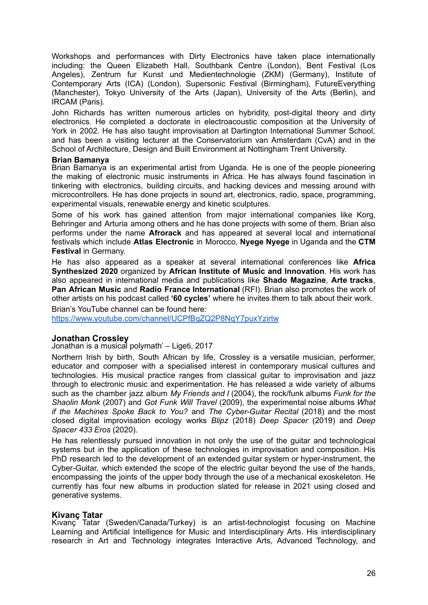Workshops and performances with Dirty Electronics have taken place internationally including: the Queen Elizabeth Hall, Southbank Centre (London), Bent Festival (Los Angeles), Zentrum fur Kunst und Medientechnologie (ZKM) (Germany), Institute of Contemporary Arts (ICA) (London), Supersonic Festival (Birmingham), FutureEverything (Manchester), Tokyo University of the Arts (Japan), University of the Arts (Berlin), and IRCAM (Paris).

John Richards has written numerous articles on hybridity, post-digital theory and dirty electronics. He completed a doctorate in electroacoustic composition at the University of York in 2002. He has also taught improvisation at Dartington International Summer School, and has been a visiting lecturer at the Conservatorium van Amsterdam (CvA) and in the School of Architecture, Design and Built Environment at Nottingham Trent University.

#### **Brian Bamanya**

Brian Bamanya is an experimental artist from Uganda. He is one of the people pioneering the making of electronic music instruments in Africa. He has always found fascination in tinkering with electronics, building circuits, and hacking devices and messing around with microcontrollers. He has done projects in sound art, electronics, radio, space, programming, experimental visuals, renewable energy and kinetic sculptures.

Some of his work has gained attention from major international companies like Korg, Behringer and Arturia among others and he has done projects with some of them. Brian also performs under the name **Afrorack** and has appeared at several local and international festivals which include **Atlas Electronic** in Morocco, **Nyege Nyege** in Uganda and the **CTM Festival** in Germany.

He has also appeared as a speaker at several international conferences like **Africa Synthesized 2020** organized by **African Institute of Music and Innovation**. His work has also appeared in international media and publications like **Shado Magazine**, **Arte tracks**, **Pan African Music** and **Radio France International** (RFI). Brian also promotes the work of other artists on his podcast called **'60 cycles'** where he invites them to talk about their work.

Brian's YouTube channel can be found here:

<https://www.youtube.com/channel/UCPfBqZQ2P8NqY7puxYzirtw>

#### **Jonathan Crossley**

Jonathan is a musical polymath' – Ligeti, 2017

Northern Irish by birth, South African by life, Crossley is a versatile musician, performer, educator and composer with a specialised interest in contemporary musical cultures and technologies. His musical practice ranges from classical guitar to improvisation and jazz through to electronic music and experimentation. He has released a wide variety of albums such as the chamber jazz album *My Friends and I* (2004), the rock/funk albums *Funk for the Shaolin Monk* (2007) and *Got Funk Will Travel* (2009), the experimental noise albums *What if the Machines Spoke Back to You?* and *The Cyber-Guitar Recital* (2018) and the most closed digital improvisation ecology works *Blipz* (2018) *Deep Spacer* (2019) and *Deep Spacer 433 Eros* (2020).

He has relentlessly pursued innovation in not only the use of the guitar and technological systems but in the application of these technologies in improvisation and composition. His PhD research led to the development of an extended guitar system or hyper-instrument, the Cyber-Guitar, which extended the scope of the electric guitar beyond the use of the hands, encompassing the joints of the upper body through the use of a mechanical exoskeleton. He currently has four new albums in production slated for release in 2021 using closed and generative systems.

#### **Kivanç Tatar**

Kıvanç Tatar (Sweden/Canada/Turkey) is an artist-technologist focusing on Machine Learning and Artificial Intelligence for Music and Interdisciplinary Arts. His interdisciplinary research in Art and Technology integrates Interactive Arts, Advanced Technology, and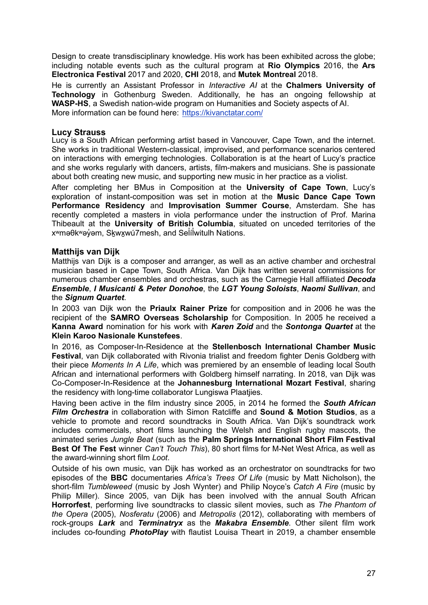Design to create transdisciplinary knowledge. His work has been exhibited across the globe; including notable events such as the cultural program at **Rio Olympics** 2016, the **Ars Electronica Festival** 2017 and 2020, **CHI** 2018, and **Mutek Montreal** 2018.

He is currently an Assistant Professor in *Interactive AI* at the **Chalmers University of Technology** in Gothenburg Sweden. Additionally, he has an ongoing fellowship at **WASP-HS**, a Swedish nation-wide program on Humanities and Society aspects of AI. More information can be found here: <https://kivanctatar.com/>

#### **Lucy Strauss**

Lucy is a South African performing artist based in Vancouver, Cape Town, and the internet. She works in traditional Western-classical, improvised, and performance scenarios centered on interactions with emerging technologies. Collaboration is at the heart of Lucy's practice and she works regularly with dancers, artists, film-makers and musicians. She is passionate about both creating new music, and supporting new music in her practice as a violist.

After completing her BMus in Composition at the **University of Cape Town**, Lucy's exploration of instant-composition was set in motion at the **Music Dance Cape Town Performance Residency** and **Improvisation Summer Course**, Amsterdam. She has recently completed a masters in viola performance under the instruction of Prof. Marina Thibeault at the **University of British Columbia**, situated on unceded territories of the x<sup>w</sup>məθk<sup>w</sup>əỷəm, Skwxwú7mesh, and Selilwitulh Nations.

### **Matthijs van Dijk**

Matthijs van Dijk is a composer and arranger, as well as an active chamber and orchestral musician based in Cape Town, South Africa. Van Dijk has written several commissions for numerous chamber ensembles and orchestras, such as the Carnegie Hall affiliated *Decoda Ensemble*, *I Musicanti & Peter Donohoe*, the *LGT Young Soloists*, *Naomi Sullivan*, and the *Signum Quartet*.

In 2003 van Dijk won the **Priaulx Rainer Prize** for composition and in 2006 he was the recipient of the **SAMRO Overseas Scholarship** for Composition. In 2005 he received a **Kanna Award** nomination for his work with *Karen Zoid* and the *Sontonga Quartet* at the **Klein Karoo Nasionale Kunstefees**.

In 2016, as Composer-In-Residence at the **Stellenbosch International Chamber Music Festival**, van Dijk collaborated with Rivonia trialist and freedom fighter Denis Goldberg with their piece *Moments In A Life*, which was premiered by an ensemble of leading local South African and international performers with Goldberg himself narrating. In 2018, van Dijk was Co-Composer-In-Residence at the **Johannesburg International Mozart Festival**, sharing the residency with long-time collaborator Lungiswa Plaatjies.

Having been active in the film industry since 2005, in 2014 he formed the *South African Film Orchestra* in collaboration with Simon Ratcliffe and **Sound & Motion Studios**, as a vehicle to promote and record soundtracks in South Africa. Van Dijk's soundtrack work includes commercials, short films launching the Welsh and English rugby mascots, the animated series *Jungle Beat* (such as the **Palm Springs International Short Film Festival Best Of The Fest** winner *Can't Touch This*), 80 short films for M-Net West Africa, as well as the award-winning short film *Loot*.

Outside of his own music, van Dijk has worked as an orchestrator on soundtracks for two episodes of the **BBC** documentaries *Africa's Trees Of Life* (music by Matt Nicholson), the short-film *Tumbleweed* (music by Josh Wynter) and Philip Noyce's *Catch A Fire* (music by Philip Miller). Since 2005, van Dijk has been involved with the annual South African **Horrorfest**, performing live soundtracks to classic silent movies, such as *The Phantom of the Opera* (2005), *Nosferatu* (2006) and *Metropolis* (2012), collaborating with members of rock-groups *Lark* and *Terminatryx* as the *Makabra Ensemble*. Other silent film work includes co-founding *PhotoPlay* with flautist Louisa Theart in 2019, a chamber ensemble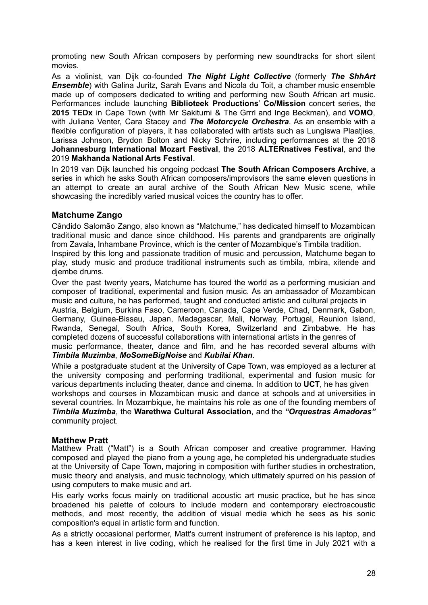promoting new South African composers by performing new soundtracks for short silent movies.

As a violinist, van Dijk co-founded *The Night Light Collective* (formerly *The ShhArt Ensemble*) with Galina Juritz, Sarah Evans and Nicola du Toit, a chamber music ensemble made up of composers dedicated to writing and performing new South African art music. Performances include launching **Biblioteek Productions**' **Co/Mission** concert series, the **2015 TEDx** in Cape Town (with Mr Sakitumi & The Grrrl and Inge Beckman), and **VOMO**, with Juliana Venter, Cara Stacey and *The Motorcycle Orchestra*. As an ensemble with a flexible configuration of players, it has collaborated with artists such as Lungiswa Plaatjies, Larissa Johnson, Brydon Bolton and Nicky Schrire, including performances at the 2018 **Johannesburg International Mozart Festival**, the 2018 **ALTERnatives Festival**, and the 2019 **Makhanda National Arts Festival**.

In 2019 van Dijk launched his ongoing podcast **The South African Composers Archive**, a series in which he asks South African composers/improvisors the same eleven questions in an attempt to create an aural archive of the South African New Music scene, while showcasing the incredibly varied musical voices the country has to offer.

### **Matchume Zango**

Cândido Salomão Zango, also known as "Matchume," has dedicated himself to Mozambican traditional music and dance since childhood. His parents and grandparents are originally from Zavala, Inhambane Province, which is the center of Mozambique's Timbila tradition. Inspired by this long and passionate tradition of music and percussion, Matchume began to play, study music and produce traditional instruments such as timbila, mbira, xitende and diembe drums.

Over the past twenty years, Matchume has toured the world as a performing musician and composer of traditional, experimental and fusion music. As an ambassador of Mozambican music and culture, he has performed, taught and conducted artistic and cultural projects in Austria, Belgium, Burkina Faso, Cameroon, Canada, Cape Verde, Chad, Denmark, Gabon, Germany, Guinea-Bissau, Japan, Madagascar, Mali, Norway, Portugal, Reunion Island, Rwanda, Senegal, South Africa, South Korea, Switzerland and Zimbabwe. He has completed dozens of successful collaborations with international artists in the genres of

music performance, theater, dance and film, and he has recorded several albums with *Timbila Muzimba*, *MoSomeBigNoise* and *Kubilai Khan*.

While a postgraduate student at the University of Cape Town, was employed as a lecturer at the university composing and performing traditional, experimental and fusion music for various departments including theater, dance and cinema. In addition to **UCT**, he has given workshops and courses in Mozambican music and dance at schools and at universities in several countries. In Mozambique, he maintains his role as one of the founding members of *Timbila Muzimba*, the **Warethwa Cultural Association**, and the *"Orquestras Amadoras"* community project.

#### **Matthew Pratt**

Matthew Pratt ("Matt") is a South African composer and creative programmer. Having composed and played the piano from a young age, he completed his undergraduate studies at the University of Cape Town, majoring in composition with further studies in orchestration, music theory and analysis, and music technology, which ultimately spurred on his passion of using computers to make music and art.

His early works focus mainly on traditional acoustic art music practice, but he has since broadened his palette of colours to include modern and contemporary electroacoustic methods, and most recently, the addition of visual media which he sees as his sonic composition's equal in artistic form and function.

As a strictly occasional performer, Matt's current instrument of preference is his laptop, and has a keen interest in live coding, which he realised for the first time in July 2021 with a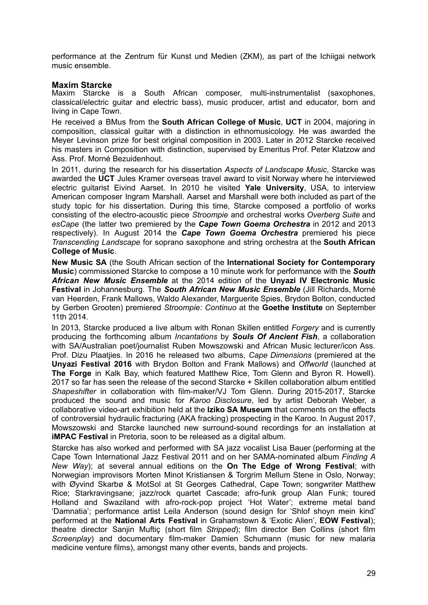performance at the Zentrum für Kunst und Medien (ZKM), as part of the Ichiigai network music ensemble.

#### **Maxim Starcke**

Maxim Starcke is a South African composer, multi-instrumentalist (saxophones, classical/electric guitar and electric bass), music producer, artist and educator, born and living in Cape Town.

He received a BMus from the **South African College of Music**, **UCT** in 2004, majoring in composition, classical guitar with a distinction in ethnomusicology. He was awarded the Meyer Levinson prize for best original composition in 2003. Later in 2012 Starcke received his masters in Composition with distinction, supervised by Emeritus Prof. Peter Klatzow and Ass. Prof. Morné Bezuidenhout.

In 2011, during the research for his dissertation *Aspects of Landscape Music*, Starcke was awarded the **UCT** Jules Kramer overseas travel award to visit Norway where he interviewed electric guitarist Eivind Aarset. In 2010 he visited **Yale University**, USA, to interview American composer Ingram Marshall. Aarset and Marshall were both included as part of the study topic for his dissertation. During this time, Starcke composed a portfolio of works consisting of the electro-acoustic piece *Stroompie* and orchestral works *Overberg Suite* and *esCape* (the latter two premiered by the *Cape Town Goema Orchestra* in 2012 and 2013 respectively). In August 2014 the *Cape Town Goema Orchestra* premiered his piece *Transcending Landscape* for soprano saxophone and string orchestra at the **South African College of Music**.

**New Music SA** (the South African section of the **International Society for Contemporary Music**) commissioned Starcke to compose a 10 minute work for performance with the *South African New Music Ensemble* at the 2014 edition of the **Unyazi IV Electronic Music Festival** in Johannesburg. The *South African New Music Ensemble* (Jill Richards, Morné van Heerden, Frank Mallows, Waldo Alexander, Marguerite Spies, Brydon Bolton, conducted by Gerben Grooten) premiered *Stroompie: Continuo* at the **Goethe Institute** on September 11th 2014.

In 2013, Starcke produced a live album with Ronan Skillen entitled *Forgery* and is currently producing the forthcoming album *Incantations* by *Souls Of Ancient Fish*, a collaboration with SA/Australian poet/journalist Ruben Mowszowski and African Music lecturer/icon Ass. Prof. Dizu Plaatjies. In 2016 he released two albums, *Cape Dimensions* (premiered at the **Unyazi Festival 2016** with Brydon Bolton and Frank Mallows) and *Offworld* (launched at **The Forge** in Kalk Bay, which featured Matthew Rice, Tom Glenn and Byron R. Howell). 2017 so far has seen the release of the second Starcke + Skillen collaboration album entitled *Shapeshifter* in collaboration with film-maker/VJ Tom Glenn. During 2015-2017, Starcke produced the sound and music for *Karoo Disclosure*, led by artist Deborah Weber, a collaborative video-art exhibition held at the **Iziko SA Museum** that comments on the effects of controversial hydraulic fracturing (AKA fracking) prospecting in the Karoo. In August 2017, Mowszowski and Starcke launched new surround-sound recordings for an installation at **iMPAC Festival** in Pretoria, soon to be released as a digital album.

Starcke has also worked and performed with SA jazz vocalist Lisa Bauer (performing at the Cape Town International Jazz Festival 2011 and on her SAMA-nominated album *Finding A New Way*); at several annual editions on the **On The Edge of Wrong Festival**; with Norwegian improvisors Morten Minot Kristiansen & Torgrim Mellum Stene in Oslo, Norway; with Øyvind Skarbø & MotSol at St Georges Cathedral, Cape Town; songwriter Matthew Rice; Starkravingsane; jazz/rock quartet Cascade; afro-funk group Alan Funk; toured Holland and Swaziland with afro-rock-pop project 'Hot Water'; extreme metal band 'Damnatia'; performance artist Leila Anderson (sound design for 'Shlof shoyn mein kind' performed at the **National Arts Festival** in Grahamstown & 'Exotic Alien', **EOW Festival**); theatre director Sanjin Muftiç (short film *Stripped*); film director Ben Collins (short film *Screenplay*) and documentary film-maker Damien Schumann (music for new malaria medicine venture films), amongst many other events, bands and projects.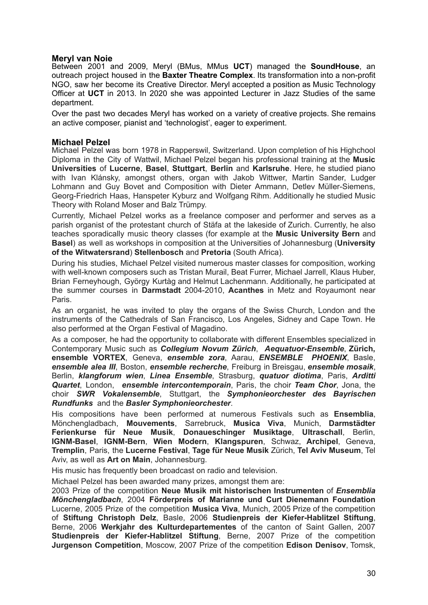#### **Meryl van Noie**

Between 2001 and 2009, Meryl (BMus, MMus **UCT**) managed the **SoundHouse**, an outreach project housed in the **Baxter Theatre Complex**. Its transformation into a non-profit NGO, saw her become its Creative Director. Meryl accepted a position as Music Technology Officer at **UCT** in 2013. In 2020 she was appointed Lecturer in Jazz Studies of the same department.

Over the past two decades Meryl has worked on a variety of creative projects. She remains an active composer, pianist and 'technologist', eager to experiment.

#### **Michael Pelzel**

Michael Pelzel was born 1978 in Rapperswil, Switzerland. Upon completion of his Highchool Diploma in the City of Wattwil, Michael Pelzel began his professional training at the **Music Universities** of **Lucerne**, **Basel**, **Stuttgart**, **Berlin** and **Karlsruhe**. Here, he studied piano with Ivan Klánsky, amongst others, organ with Jakob Wittwer, Martin Sander, Ludger Lohmann and Guy Bovet and Composition with Dieter Ammann, Detlev Müller-Siemens, Georg-Friedrich Haas, Hanspeter Kyburz and Wolfgang Rihm. Additionally he studied Music Theory with Roland Moser and Balz Trümpy.

Currently, Michael Pelzel works as a freelance composer and performer and serves as a parish organist of the protestant church of Stäfa at the lakeside of Zurich. Currently, he also teaches sporadically music theory classes (for example at the **Music University Bern** and **Basel**) as well as workshops in composition at the Universities of Johannesburg (**University of the Witwatersrand**) **Stellenbosch** and **Pretoria** (South Africa).

During his studies, Michael Pelzel visited numerous master classes for composition, working with well-known composers such as Tristan Murail, Beat Furrer, Michael Jarrell, Klaus Huber, Brian Ferneyhough, György Kurtàg and Helmut Lachenmann. Additionally, he participated at the summer courses in **Darmstadt** 2004-2010, **Acanthes** in Metz and Royaumont near Paris.

As an organist, he was invited to play the organs of the Swiss Church, London and the instruments of the Cathedrals of San Francisco, Los Angeles, Sidney and Cape Town. He also performed at the Organ Festival of Magadino.

As a composer, he had the opportunity to collaborate with different Ensembles specialized in Contemporary Music such as *Collegium Novum Zürich*, *Aequatuor-Ensemble*, **Zürich, ensemble VORTEX**, Geneva, *ensemble zora*, Aarau, *ENSEMBLE PHOENIX*, Basle, *ensemble alea III*, Boston, *ensemble recherche*, Freiburg in Breisgau, *ensemble mosaik*, Berlin, *klangforum wien*, *Linea Ensemble*, Strasburg, *quatuor diotima*, Paris, *Arditti Quartet*, London, *ensemble intercontemporain*, Paris, the choir *Team Chor*, Jona, the choir *SWR Vokalensemble*, Stuttgart, the *Symphonieorchester des Bayrischen Rundfunks* and the *Basler Symphonieorchester*.

His compositions have been performed at numerous Festivals such as **Ensemblia**, Mönchengladbach, **Mouvements**, Sarrebruck, **Musica Viva**, Munich, **Darmstädter Ferienkurse für Neue Musik**, **Donaueschinger Musiktage**, **Ultraschall**, Berlin, **IGNM-Basel**, **IGNM-Bern**, **Wien Modern**, **Klangspuren**, Schwaz, **Archipel**, Geneva, **Tremplin**, Paris, the **Lucerne Festival**, **Tage für Neue Musik** Zürich, **Tel Aviv Museum**, Tel Aviv, as well as **Art on Main**, Johannesburg.

His music has frequently been broadcast on radio and television.

Michael Pelzel has been awarded many prizes, amongst them are:

2003 Prize of the competition **Neue Musik mit historischen Instrumenten** of *Ensemblia Mönchengladbach*, 2004 **Förderpreis of Marianne und Curt Dienemann Foundation** Lucerne, 2005 Prize of the competition **Musica Viva**, Munich, 2005 Prize of the competition of **Stiftung Christoph Delz**, Basle, 2006 **Studienpreis der Kiefer-Hablitzel Stiftung**, Berne, 2006 **Werkjahr des Kulturdepartementes** of the canton of Saint Gallen, 2007 **Studienpreis der Kiefer-Hablitzel Stiftung**, Berne, 2007 Prize of the competition **Jurgenson Competition**, Moscow, 2007 Prize of the competition **Edison Denisov**, Tomsk,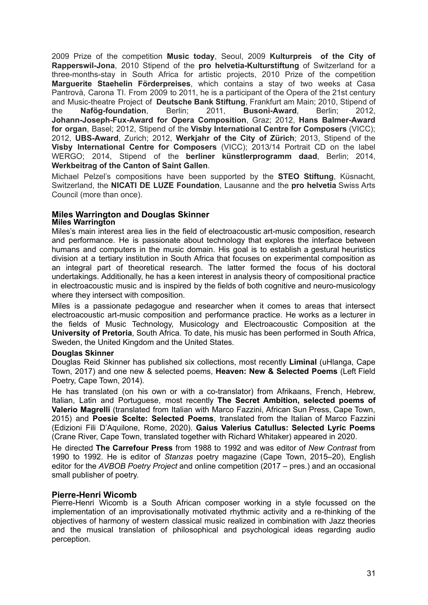2009 Prize of the competition **Music today**, Seoul, 2009 **Kulturpreis of the City of Rapperswil-Jona**, 2010 Stipend of the **pro helvetia-Kulturstiftung** of Switzerland for a three-months-stay in South Africa for artistic projects, 2010 Prize of the competition **Marguerite Staehelin Förderpreises**, which contains a stay of two weeks at Casa Pantrovà, Carona TI. From 2009 to 2011, he is a participant of the Opera of the 21st century and Music-theatre Project of **Deutsche Bank Stiftung**, Frankfurt am Main; 2010, Stipend of the **Nafög-foundation**, Berlin; 2011, **Busoni-Award**, Berlin; 2012, **Johann-Joseph-Fux-Award for Opera Composition**, Graz; 2012, **Hans Balmer-Award for organ**, Basel; 2012, Stipend of the **Visby International Centre for Composers** (VICC); 2012, **UBS-Award**, Zurich; 2012, **Werkjahr of the City of Zürich**; 2013, Stipend of the **Visby International Centre for Composers** (VICC); 2013/14 Portrait CD on the label WERGO; 2014, Stipend of the **berliner künstlerprogramm daad**, Berlin; 2014, **Werkbeitrag of the Canton of Saint Gallen**.

Michael Pelzel's compositions have been supported by the **STEO Stiftung**, Küsnacht, Switzerland, the **NICATI DE LUZE Foundation**, Lausanne and the **pro helvetia** Swiss Arts Council (more than once).

#### **Miles Warrington and Douglas Skinner Miles Warrington**

Miles's main interest area lies in the field of electroacoustic art-music composition, research and performance. He is passionate about technology that explores the interface between humans and computers in the music domain. His goal is to establish a gestural heuristics division at a tertiary institution in South Africa that focuses on experimental composition as an integral part of theoretical research. The latter formed the focus of his doctoral undertakings. Additionally, he has a keen interest in analysis theory of compositional practice in electroacoustic music and is inspired by the fields of both cognitive and neuro-musicology where they intersect with composition.

Miles is a passionate pedagogue and researcher when it comes to areas that intersect electroacoustic art-music composition and performance practice. He works as a lecturer in the fields of Music Technology, Musicology and Electroacoustic Composition at the **University of Pretoria**, South Africa. To date, his music has been performed in South Africa, Sweden, the United Kingdom and the United States.

#### **Douglas Skinner**

Douglas Reid Skinner has published six collections, most recently **Liminal** (uHlanga, Cape Town, 2017) and one new & selected poems, **Heaven: New & Selected Poems** (Left Field Poetry, Cape Town, 2014).

He has translated (on his own or with a co-translator) from Afrikaans, French, Hebrew, Italian, Latin and Portuguese, most recently **The Secret Ambition, selected poems of Valerio Magrelli** (translated from Italian with Marco Fazzini, African Sun Press, Cape Town, 2015) and **Poesie Scelte: Selected Poems**, translated from the Italian of Marco Fazzini (Edizioni Fili D'Aquilone, Rome, 2020). **Gaius Valerius Catullus: Selected Lyric Poems** (Crane River, Cape Town, translated together with Richard Whitaker) appeared in 2020.

He directed **The Carrefour Press** from 1988 to 1992 and was editor of *New Contrast* from 1990 to 1992. He is editor of *Stanzas* poetry magazine (Cape Town, 2015–20), English editor for the *AVBOB Poetry Project* and online competition (2017 – pres.) and an occasional small publisher of poetry.

#### **Pierre-Henri Wicomb**

Pierre-Henri Wicomb is a South African composer working in a style focussed on the implementation of an improvisationally motivated rhythmic activity and a re-thinking of the objectives of harmony of western classical music realized in combination with Jazz theories and the musical translation of philosophical and psychological ideas regarding audio perception.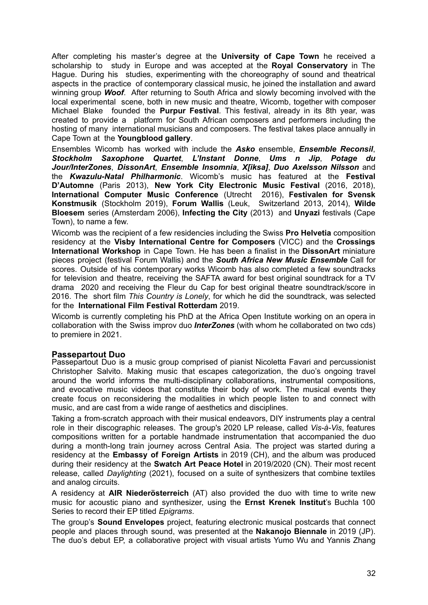After completing his master's degree at the **University of Cape Town** he received a scholarship to study in Europe and was accepted at the **Royal Conservatory** in The Hague. During his studies, experimenting with the choreography of sound and theatrical aspects in the practice of contemporary classical music, he joined the installation and award winning group *Woof*. After returning to South Africa and slowly becoming involved with the local experimental scene, both in new music and theatre, Wicomb, together with composer Michael Blake founded the **Purpur Festival**. This festival, already in its 8th year, was created to provide a platform for South African composers and performers including the hosting of many international musicians and composers. The festival takes place annually in Cape Town at the **Youngblood gallery**.

Ensembles Wicomb has worked with include the *Asko* ensemble, *Ensemble Reconsil*, *Stockholm Saxophone Quartet*, *L'Instant Donne*, *Ums n Jip*, *Potage du Jour/InterZones*, *DissonArt*, *Ensemble Insomnia*, *X[iksa]*, *Duo Axelsson Nilsson* and the *Kwazulu-Natal Philharmonic*. Wicomb's music has featured at the **Festival D'Automne** (Paris 2013), **New York City Electronic Music Festival** (2016, 2018), **International Computer Music Conference** (Utrecht 2016), **Festivalen for Svensk Konstmusik** (Stockholm 2019), **Forum Wallis** (Leuk, Switzerland 2013, 2014), **Wilde Bloesem** series (Amsterdam 2006), **Infecting the City** (2013) and **Unyazi** festivals (Cape Town), to name a few.

Wicomb was the recipient of a few residencies including the Swiss **Pro Helvetia** composition residency at the **Visby International Centre for Composers** (VICC) and the **Crossings International Workshop** in Cape Town. He has been a finalist in the **DissonArt** miniature pieces project (festival Forum Wallis) and the *South Africa New Music Ensemble* Call for scores. Outside of his contemporary works Wicomb has also completed a few soundtracks for television and theatre, receiving the SAFTA award for best original soundtrack for a TV drama 2020 and receiving the Fleur du Cap for best original theatre soundtrack/score in 2016. The short film *This Country is Lonely*, for which he did the soundtrack, was selected for the **International Film Festival Rotterdam** 2019.

Wicomb is currently completing his PhD at the Africa Open Institute working on an opera in collaboration with the Swiss improv duo *InterZones* (with whom he collaborated on two cds) to premiere in 2021.

# **Passepartout Duo**

Passepartout Duo is a music group comprised of pianist Nicoletta Favari and percussionist Christopher Salvito. Making music that escapes categorization, the duo's ongoing travel around the world informs the multi-disciplinary collaborations, instrumental compositions, and evocative music videos that constitute their body of work. The musical events they create focus on reconsidering the modalities in which people listen to and connect with music, and are cast from a wide range of aesthetics and disciplines.

Taking a from-scratch approach with their musical endeavors, DIY instruments play a central role in their discographic releases. The group's 2020 LP release, called *Vis-à-Vis*, features compositions written for a portable handmade instrumentation that accompanied the duo during a month-long train journey across Central Asia. The project was started during a residency at the **Embassy of Foreign Artists** in 2019 (CH), and the album was produced during their residency at the **Swatch Art Peace Hotel** in 2019/2020 (CN). Their most recent release, called *Daylighting* (2021), focused on a suite of synthesizers that combine textiles and analog circuits.

A residency at **AIR Niederösterreich** (AT) also provided the duo with time to write new music for acoustic piano and synthesizer, using the **Ernst Krenek Institut**'s Buchla 100 Series to record their EP titled *Epigrams*.

The group's **Sound Envelopes** project, featuring electronic musical postcards that connect people and places through sound, was presented at the **Nakanojo Biennale** in 2019 (JP). The duo's debut EP, a collaborative project with visual artists Yumo Wu and Yannis Zhang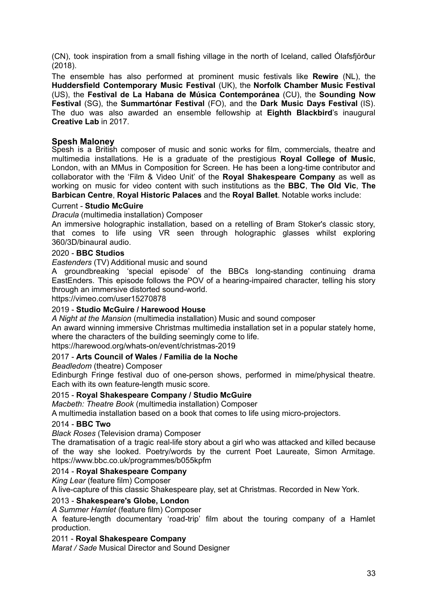(CN), took inspiration from a small fishing village in the north of Iceland, called Ólafsfjörður (2018).

The ensemble has also performed at prominent music festivals like **Rewire** (NL), the **Huddersfield Contemporary Music Festival** (UK), the **Norfolk Chamber Music Festival** (US), the **Festival de La Habana de Música Contemporánea** (CU), the **Sounding Now Festival** (SG), the **Summartónar Festival** (FO), and the **Dark Music Days Festival** (IS). The duo was also awarded an ensemble fellowship at **Eighth Blackbird**'s inaugural **Creative Lab** in 2017.

### **Spesh Maloney**

Spesh is a British composer of music and sonic works for film, commercials, theatre and multimedia installations. He is a graduate of the prestigious **Royal College of Music**, London, with an MMus in Composition for Screen. He has been a long-time contributor and collaborator with the 'Film & Video Unit' of the **Royal Shakespeare Company** as well as working on music for video content with such institutions as the **BBC**, **The Old Vic**, **The Barbican Centre**, **Royal Historic Palaces** and the **Royal Ballet**. Notable works include:

#### Current - **Studio McGuire**

*Dracula* (multimedia installation) Composer

An immersive holographic installation, based on a retelling of Bram Stoker's classic story, that comes to life using VR seen through holographic glasses whilst exploring 360/3D/binaural audio.

#### 2020 - **BBC Studios**

*Eastenders* (TV) Additional music and sound

A groundbreaking 'special episode' of the BBCs long-standing continuing drama EastEnders. This episode follows the POV of a hearing-impaired character, telling his story through an immersive distorted sound-world.

https://vimeo.com/user15270878

#### 2019 - **Studio McGuire / Harewood House**

*A Night at the Mansion* (multimedia installation) Music and sound composer An award winning immersive Christmas multimedia installation set in a popular stately home, where the characters of the building seemingly come to life.

https://harewood.org/whats-on/event/christmas-2019

#### 2017 - **Arts Council of Wales / Familia de la Noche**

*Beadledom* (theatre) Composer

Edinburgh Fringe festival duo of one-person shows, performed in mime/physical theatre. Each with its own feature-length music score.

#### 2015 - **Royal Shakespeare Company / Studio McGuire**

*Macbeth: Theatre Book* (multimedia installation) Composer

A multimedia installation based on a book that comes to life using micro-projectors.

#### 2014 - **BBC Two**

*Black Roses* (Television drama) Composer

The dramatisation of a tragic real-life story about a girl who was attacked and killed because of the way she looked. Poetry/words by the current Poet Laureate, Simon Armitage. https://www.bbc.co.uk/programmes/b055kpfm

#### 2014 - **Royal Shakespeare Company**

*King Lear* (feature film) Composer

A live-capture of this classic Shakespeare play, set at Christmas. Recorded in New York.

#### 2013 - **Shakespeare's Globe, London**

*A Summer Hamlet* (feature film) Composer

A feature-length documentary 'road-trip' film about the touring company of a Hamlet production.

#### 2011 - **Royal Shakespeare Company**

*Marat / Sade* Musical Director and Sound Designer